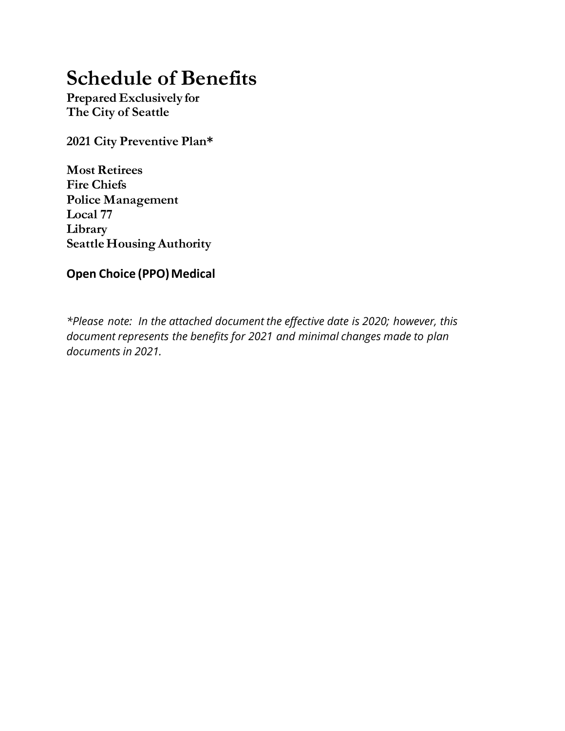# **Schedule of Benefits**

**Prepared Exclusively for The City of Seattle** 

**2021 City Preventive Plan\***

**Most Retirees Fire Chiefs Police Management Local 77 Library Seattle Housing Authority** 

### **Open Choice (PPO) Medical**

*\*Please note: In the attached document the effective date is 2020; however, this document represents the benefits for 2021 and minimal changes made to plan documents in 2021.*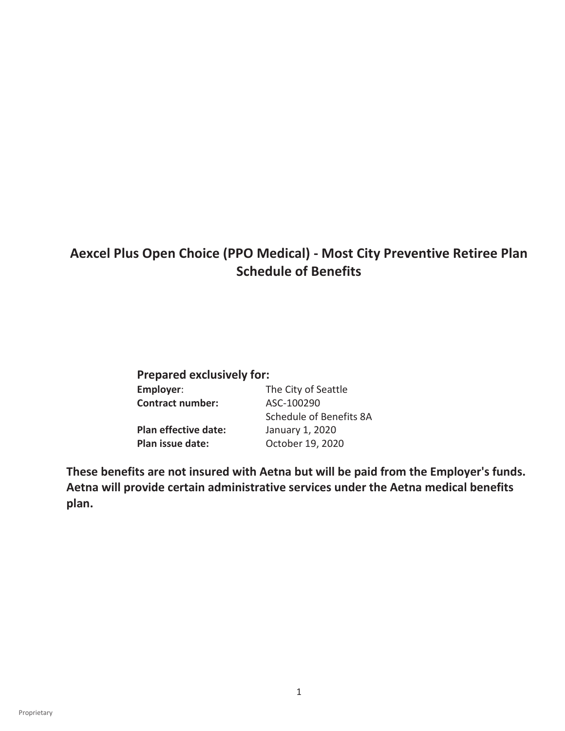# **Aexcel Plus Open Choice (PPO Medical) - Most City Preventive Retiree Plan Schedule of Benefits**

| <b>Prepared exclusively for:</b> |  |  |  |
|----------------------------------|--|--|--|
| The City of Seattle              |  |  |  |
| ASC-100290                       |  |  |  |
| Schedule of Benefits 8A          |  |  |  |
| January 1, 2020                  |  |  |  |
| October 19, 2020                 |  |  |  |
|                                  |  |  |  |

**These benefits are not insured with Aetna but will be paid from the Employer's funds. Aetna will provide certain administrative services under the Aetna medical benefits plan.**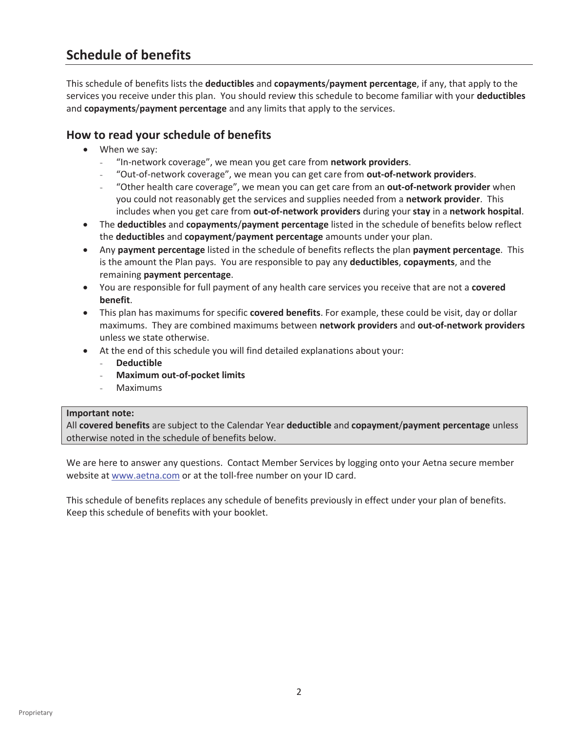## **Schedule of benefits**

This schedule of benefits lists the **deductibles** and **copayments**/**payment percentage**, if any, that apply to the services you receive under this plan. You should review this schedule to become familiar with your **deductibles** and **copayments**/**payment percentage** and any limits that apply to the services.

#### **How to read your schedule of benefits**

- $\bullet$  When we say:
	- "In-network coverage", we mean you get care from **network providers**.
	- "Out-of-network coverage", we mean you can get care from **out-of-network providers**.
	- "Other health care coverage", we mean you can get care from an **out-of-network provider** when you could not reasonably get the services and supplies needed from a **network provider**. This includes when you get care from **out-of-network providers** during your **stay** in a **network hospital**.
- x The **deductibles** and **copayments**/**payment percentage** listed in the schedule of benefits below reflect the **deductibles** and **copayment**/**payment percentage** amounts under your plan.
- **Any payment percentage** listed in the schedule of benefits reflects the plan **payment percentage**. This is the amount the Plan pays. You are responsible to pay any **deductibles**, **copayments**, and the remaining **payment percentage**.
- x You are responsible for full payment of any health care services you receive that are not a **covered benefit**.
- **•** This plan has maximums for specific **covered benefits**. For example, these could be visit, day or dollar maximums. They are combined maximums between **network providers** and **out-of-network providers** unless we state otherwise.
- At the end of this schedule you will find detailed explanations about your:
	- **Deductible**
	- **Maximum out-of-pocket limits**
	- **Maximums**

#### **Important note:**

All **covered benefits** are subject to the Calendar Year **deductible** and **copayment**/**payment percentage** unless otherwise noted in the schedule of benefits below.

We are here to answer any questions. Contact Member Services by logging onto your Aetna secure member website at www.aetna.com or at the toll-free number on your ID card.

This schedule of benefits replaces any schedule of benefits previously in effect under your plan of benefits. Keep this schedule of benefits with your booklet.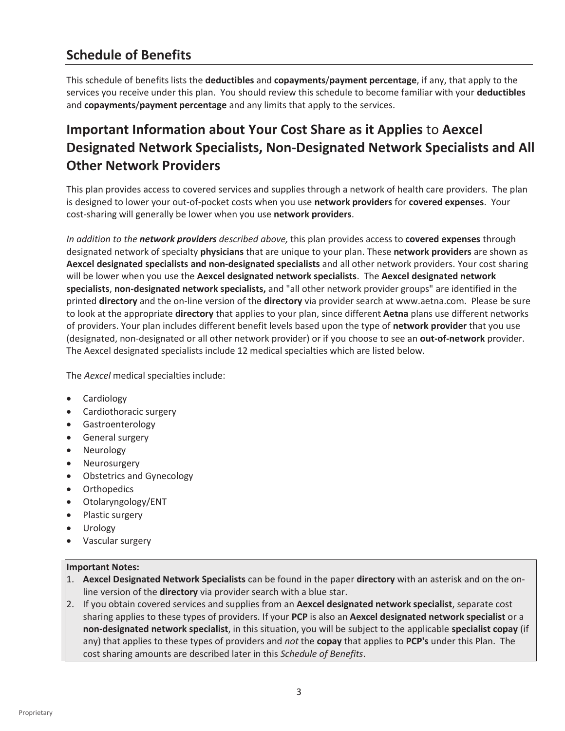# **Schedule of Benefits**

This schedule of benefits lists the **deductibles** and **copayments**/**payment percentage**, if any, that apply to the services you receive under this plan. You should review this schedule to become familiar with your **deductibles** and **copayments**/**payment percentage** and any limits that apply to the services.

# **Important Information about Your Cost Share as it Applies** to **Aexcel Designated Network Specialists, Non-Designated Network Specialists and All Other Network Providers**

This plan provides access to covered services and supplies through a network of health care providers. The plan is designed to lower your out-of-pocket costs when you use **network providers** for **covered expenses**. Your cost-sharing will generally be lower when you use **network providers**.

*In addition to the network providers described above,* this plan provides access to **covered expenses** through designated network of specialty **physicians** that are unique to your plan. These **network providers** are shown as **Aexcel designated specialists and non-designated specialists** and all other network providers. Your cost sharing will be lower when you use the **Aexcel designated network specialists**. The **Aexcel designated network specialists**, **non-designated network specialists,** and "all other network provider groups" are identified in the printed **directory** and the on-line version of the **directory** via provider search at www.aetna.com. Please be sure to look at the appropriate **directory** that applies to your plan, since different **Aetna** plans use different networks of providers. Your plan includes different benefit levels based upon the type of **network provider** that you use (designated, non-designated or all other network provider) or if you choose to see an **out-of-network** provider. The Aexcel designated specialists include 12 medical specialties which are listed below.

The *Aexcel* medical specialties include:

- Cardiology
- Cardiothoracic surgery
- **•** Gastroenterology
- General surgery
- Neurology
- Neurosurgery
- Obstetrics and Gynecology
- Orthopedics
- Otolaryngology/ENT
- Plastic surgery
- Urology
- Vascular surgery

#### **Important Notes:**

- 1. **Aexcel Designated Network Specialists** can be found in the paper **directory** with an asterisk and on the online version of the **directory** via provider search with a blue star.
- 2. If you obtain covered services and supplies from an **Aexcel designated network specialist**, separate cost sharing applies to these types of providers. If your **PCP** is also an **Aexcel designated network specialist** or a **non-designated network specialist**, in this situation, you will be subject to the applicable **specialist copay** (if any) that applies to these types of providers and *not* the **copay** that applies to **PCP's** under this Plan. The cost sharing amounts are described later in this *Schedule of Benefits*.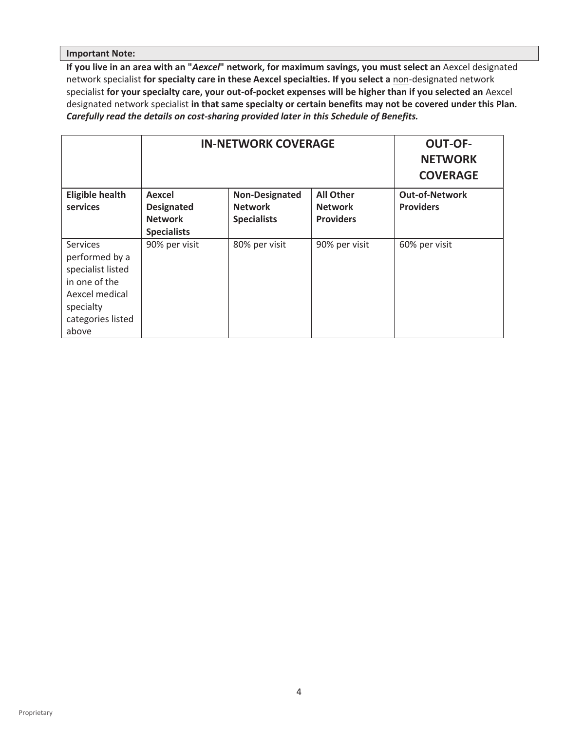#### **Important Note:**

**If you live in an area with an "***Aexcel***" network, for maximum savings, you must select an** Aexcel designated network specialist **for specialty care in these Aexcel specialties. If you select a** non-designated network specialist **for your specialty care, your out-of-pocket expenses will be higher than if you selected an** Aexcel designated network specialist **in that same specialty or certain benefits may not be covered under this Plan.**  *Carefully read the details on cost-sharing provided later in this Schedule of Benefits.*

|                                                                                                                                      | <b>IN-NETWORK COVERAGE</b>  |                                         |                                    | <b>OUT-OF-</b><br><b>NETWORK</b><br><b>COVERAGE</b> |
|--------------------------------------------------------------------------------------------------------------------------------------|-----------------------------|-----------------------------------------|------------------------------------|-----------------------------------------------------|
| <b>Eligible health</b><br>services                                                                                                   | Aexcel<br><b>Designated</b> | <b>Non-Designated</b><br><b>Network</b> | <b>All Other</b><br><b>Network</b> | <b>Out-of-Network</b><br><b>Providers</b>           |
|                                                                                                                                      | <b>Network</b>              | <b>Specialists</b>                      | <b>Providers</b>                   |                                                     |
|                                                                                                                                      | <b>Specialists</b>          |                                         |                                    |                                                     |
| <b>Services</b><br>performed by a<br>specialist listed<br>in one of the<br>Aexcel medical<br>specialty<br>categories listed<br>above | 90% per visit               | 80% per visit                           | 90% per visit                      | 60% per visit                                       |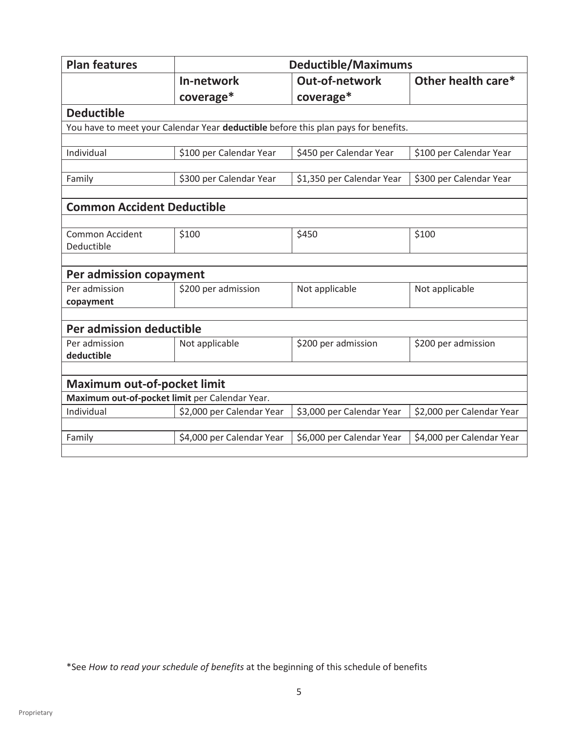| <b>Plan features</b>                 |                                                                                    | <b>Deductible/Maximums</b> |                           |  |
|--------------------------------------|------------------------------------------------------------------------------------|----------------------------|---------------------------|--|
|                                      | In-network                                                                         | <b>Out-of-network</b>      | Other health care*        |  |
|                                      | coverage*                                                                          | coverage*                  |                           |  |
| <b>Deductible</b>                    |                                                                                    |                            |                           |  |
|                                      | You have to meet your Calendar Year deductible before this plan pays for benefits. |                            |                           |  |
|                                      |                                                                                    |                            |                           |  |
| Individual                           | \$100 per Calendar Year                                                            | \$450 per Calendar Year    | \$100 per Calendar Year   |  |
| Family                               | \$300 per Calendar Year                                                            | \$1,350 per Calendar Year  | \$300 per Calendar Year   |  |
| <b>Common Accident Deductible</b>    |                                                                                    |                            |                           |  |
|                                      |                                                                                    |                            |                           |  |
| <b>Common Accident</b><br>Deductible | \$100                                                                              | \$450                      | \$100                     |  |
|                                      |                                                                                    |                            |                           |  |
| Per admission copayment              |                                                                                    |                            |                           |  |
| Per admission                        | \$200 per admission                                                                | Not applicable             | Not applicable            |  |
| copayment                            |                                                                                    |                            |                           |  |
| Per admission deductible             |                                                                                    |                            |                           |  |
| Per admission<br>deductible          | Not applicable                                                                     | \$200 per admission        | \$200 per admission       |  |
|                                      |                                                                                    |                            |                           |  |
| <b>Maximum out-of-pocket limit</b>   |                                                                                    |                            |                           |  |
|                                      | Maximum out-of-pocket limit per Calendar Year.                                     |                            |                           |  |
| Individual                           | \$2,000 per Calendar Year                                                          | \$3,000 per Calendar Year  | \$2,000 per Calendar Year |  |
|                                      |                                                                                    |                            |                           |  |
| Family                               | \$4,000 per Calendar Year                                                          | \$6,000 per Calendar Year  | \$4,000 per Calendar Year |  |
|                                      |                                                                                    |                            |                           |  |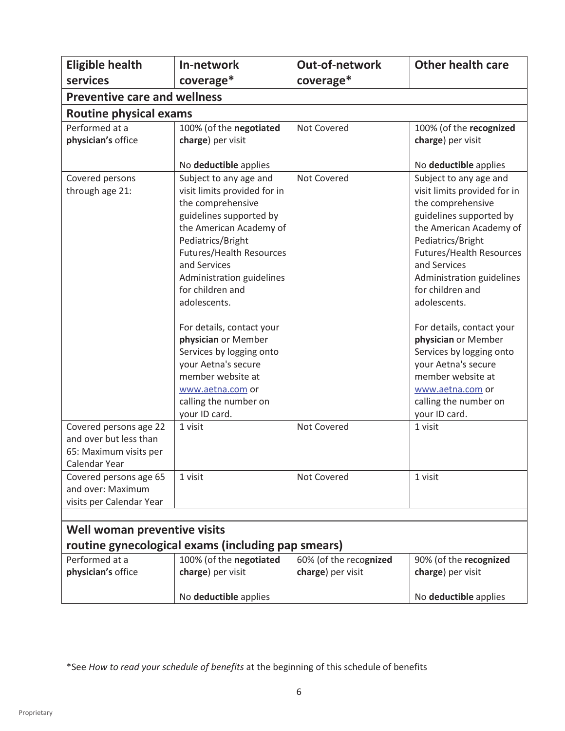| <b>Eligible health</b><br>services                                                          | In-network<br>coverage*                                                                                                                                                                                                                                                                                                                                                                                                                             | <b>Out-of-network</b><br>coverage*          | <b>Other health care</b>                                                                                                                                                                                                                                                                                                                                                                                                                            |  |  |  |
|---------------------------------------------------------------------------------------------|-----------------------------------------------------------------------------------------------------------------------------------------------------------------------------------------------------------------------------------------------------------------------------------------------------------------------------------------------------------------------------------------------------------------------------------------------------|---------------------------------------------|-----------------------------------------------------------------------------------------------------------------------------------------------------------------------------------------------------------------------------------------------------------------------------------------------------------------------------------------------------------------------------------------------------------------------------------------------------|--|--|--|
| <b>Preventive care and wellness</b>                                                         |                                                                                                                                                                                                                                                                                                                                                                                                                                                     |                                             |                                                                                                                                                                                                                                                                                                                                                                                                                                                     |  |  |  |
| <b>Routine physical exams</b>                                                               |                                                                                                                                                                                                                                                                                                                                                                                                                                                     |                                             |                                                                                                                                                                                                                                                                                                                                                                                                                                                     |  |  |  |
| Performed at a<br>physician's office                                                        | 100% (of the negotiated<br>charge) per visit<br>No deductible applies                                                                                                                                                                                                                                                                                                                                                                               | Not Covered                                 | 100% (of the recognized<br>charge) per visit<br>No deductible applies                                                                                                                                                                                                                                                                                                                                                                               |  |  |  |
| Covered persons<br>through age 21:                                                          | Subject to any age and<br>visit limits provided for in<br>the comprehensive<br>guidelines supported by<br>the American Academy of<br>Pediatrics/Bright<br><b>Futures/Health Resources</b><br>and Services<br>Administration guidelines<br>for children and<br>adolescents.<br>For details, contact your<br>physician or Member<br>Services by logging onto<br>your Aetna's secure<br>member website at<br>www.aetna.com or<br>calling the number on | Not Covered                                 | Subject to any age and<br>visit limits provided for in<br>the comprehensive<br>guidelines supported by<br>the American Academy of<br>Pediatrics/Bright<br><b>Futures/Health Resources</b><br>and Services<br>Administration guidelines<br>for children and<br>adolescents.<br>For details, contact your<br>physician or Member<br>Services by logging onto<br>your Aetna's secure<br>member website at<br>www.aetna.com or<br>calling the number on |  |  |  |
| Covered persons age 22<br>and over but less than<br>65: Maximum visits per<br>Calendar Year | your ID card.<br>1 visit                                                                                                                                                                                                                                                                                                                                                                                                                            | Not Covered                                 | your ID card.<br>1 visit                                                                                                                                                                                                                                                                                                                                                                                                                            |  |  |  |
| Covered persons age 65<br>and over: Maximum<br>visits per Calendar Year                     | 1 visit                                                                                                                                                                                                                                                                                                                                                                                                                                             | Not Covered                                 | 1 visit                                                                                                                                                                                                                                                                                                                                                                                                                                             |  |  |  |
|                                                                                             |                                                                                                                                                                                                                                                                                                                                                                                                                                                     |                                             |                                                                                                                                                                                                                                                                                                                                                                                                                                                     |  |  |  |
| Well woman preventive visits                                                                |                                                                                                                                                                                                                                                                                                                                                                                                                                                     |                                             |                                                                                                                                                                                                                                                                                                                                                                                                                                                     |  |  |  |
|                                                                                             | routine gynecological exams (including pap smears)                                                                                                                                                                                                                                                                                                                                                                                                  |                                             |                                                                                                                                                                                                                                                                                                                                                                                                                                                     |  |  |  |
| Performed at a<br>physician's office                                                        | 100% (of the negotiated<br>charge) per visit                                                                                                                                                                                                                                                                                                                                                                                                        | 60% (of the recognized<br>charge) per visit | 90% (of the recognized<br>charge) per visit                                                                                                                                                                                                                                                                                                                                                                                                         |  |  |  |
|                                                                                             | No deductible applies                                                                                                                                                                                                                                                                                                                                                                                                                               |                                             | No deductible applies                                                                                                                                                                                                                                                                                                                                                                                                                               |  |  |  |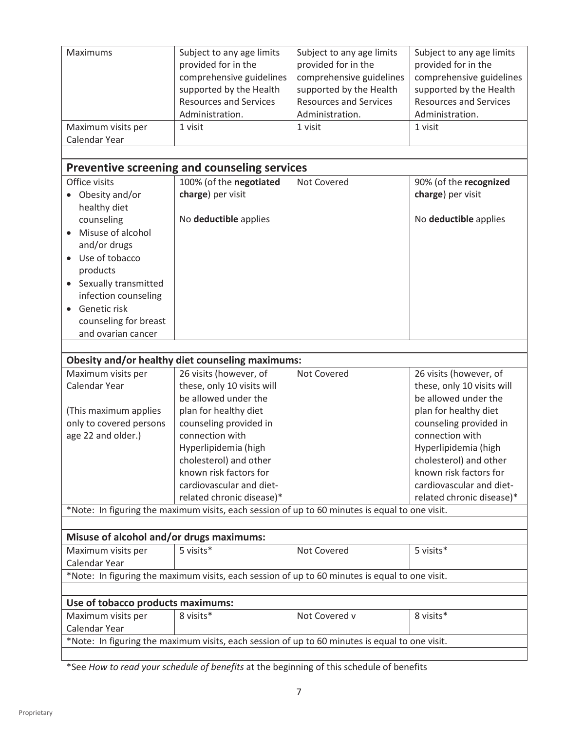| Maximums                                 | Subject to any age limits<br>provided for in the                                               | Subject to any age limits<br>provided for in the | Subject to any age limits<br>provided for in the |
|------------------------------------------|------------------------------------------------------------------------------------------------|--------------------------------------------------|--------------------------------------------------|
|                                          | comprehensive guidelines                                                                       | comprehensive guidelines                         | comprehensive guidelines                         |
|                                          | supported by the Health                                                                        | supported by the Health                          | supported by the Health                          |
|                                          | <b>Resources and Services</b>                                                                  | <b>Resources and Services</b>                    | <b>Resources and Services</b>                    |
|                                          | Administration.                                                                                | Administration.                                  | Administration.                                  |
| Maximum visits per                       | 1 visit                                                                                        | 1 visit                                          | 1 visit                                          |
| Calendar Year                            |                                                                                                |                                                  |                                                  |
|                                          | Preventive screening and counseling services                                                   |                                                  |                                                  |
| Office visits                            | 100% (of the negotiated                                                                        | Not Covered                                      | 90% (of the recognized                           |
| Obesity and/or<br>$\bullet$              | charge) per visit                                                                              |                                                  | charge) per visit                                |
| healthy diet                             |                                                                                                |                                                  |                                                  |
| counseling                               | No deductible applies                                                                          |                                                  | No deductible applies                            |
| Misuse of alcohol                        |                                                                                                |                                                  |                                                  |
| and/or drugs                             |                                                                                                |                                                  |                                                  |
| Use of tobacco                           |                                                                                                |                                                  |                                                  |
| products                                 |                                                                                                |                                                  |                                                  |
| Sexually transmitted                     |                                                                                                |                                                  |                                                  |
| infection counseling                     |                                                                                                |                                                  |                                                  |
| Genetic risk                             |                                                                                                |                                                  |                                                  |
| counseling for breast                    |                                                                                                |                                                  |                                                  |
| and ovarian cancer                       |                                                                                                |                                                  |                                                  |
|                                          |                                                                                                |                                                  |                                                  |
|                                          | Obesity and/or healthy diet counseling maximums:                                               |                                                  |                                                  |
| Maximum visits per                       | 26 visits (however, of                                                                         | Not Covered                                      | 26 visits (however, of                           |
| Calendar Year                            | these, only 10 visits will                                                                     |                                                  | these, only 10 visits will                       |
|                                          | be allowed under the                                                                           |                                                  | be allowed under the                             |
| (This maximum applies                    | plan for healthy diet                                                                          |                                                  | plan for healthy diet                            |
| only to covered persons                  | counseling provided in                                                                         |                                                  | counseling provided in                           |
| age 22 and older.)                       | connection with                                                                                |                                                  | connection with                                  |
|                                          | Hyperlipidemia (high                                                                           |                                                  | Hyperlipidemia (high                             |
|                                          | cholesterol) and other<br>known risk factors for                                               |                                                  | cholesterol) and other<br>known risk factors for |
|                                          | cardiovascular and diet-                                                                       |                                                  | cardiovascular and diet-                         |
|                                          | related chronic disease)*                                                                      |                                                  | related chronic disease)*                        |
|                                          | *Note: In figuring the maximum visits, each session of up to 60 minutes is equal to one visit. |                                                  |                                                  |
|                                          |                                                                                                |                                                  |                                                  |
| Misuse of alcohol and/or drugs maximums: |                                                                                                |                                                  |                                                  |
| Maximum visits per                       | 5 visits*                                                                                      | Not Covered                                      | 5 visits*                                        |
| Calendar Year                            | *Note: In figuring the maximum visits, each session of up to 60 minutes is equal to one visit. |                                                  |                                                  |
|                                          |                                                                                                |                                                  |                                                  |
| Use of tobacco products maximums:        |                                                                                                |                                                  |                                                  |
| Maximum visits per                       | 8 visits*                                                                                      | Not Covered v                                    | 8 visits*                                        |
| Calendar Year                            |                                                                                                |                                                  |                                                  |
|                                          | *Note: In figuring the maximum visits, each session of up to 60 minutes is equal to one visit. |                                                  |                                                  |
|                                          |                                                                                                |                                                  |                                                  |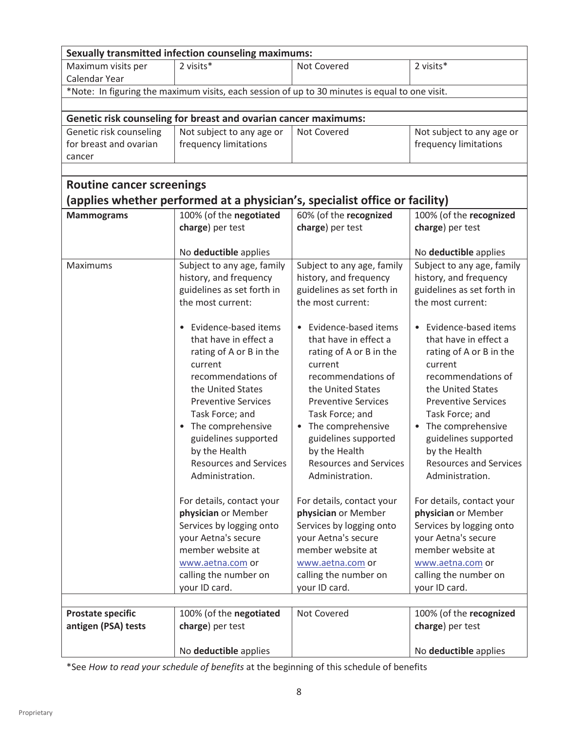| <b>Sexually transmitted infection counseling maximums:</b> |                                                                                                |                               |                               |  |
|------------------------------------------------------------|------------------------------------------------------------------------------------------------|-------------------------------|-------------------------------|--|
| Maximum visits per                                         | 2 visits*                                                                                      | Not Covered                   | 2 visits*                     |  |
| Calendar Year                                              |                                                                                                |                               |                               |  |
|                                                            | *Note: In figuring the maximum visits, each session of up to 30 minutes is equal to one visit. |                               |                               |  |
|                                                            |                                                                                                |                               |                               |  |
|                                                            | Genetic risk counseling for breast and ovarian cancer maximums:                                |                               |                               |  |
| Genetic risk counseling                                    | Not subject to any age or                                                                      | Not Covered                   | Not subject to any age or     |  |
| for breast and ovarian                                     | frequency limitations                                                                          |                               | frequency limitations         |  |
| cancer                                                     |                                                                                                |                               |                               |  |
|                                                            |                                                                                                |                               |                               |  |
| <b>Routine cancer screenings</b>                           |                                                                                                |                               |                               |  |
|                                                            | (applies whether performed at a physician's, specialist office or facility)                    |                               |                               |  |
| <b>Mammograms</b>                                          | 100% (of the negotiated                                                                        | 60% (of the recognized        | 100% (of the recognized       |  |
|                                                            | charge) per test                                                                               | charge) per test              | charge) per test              |  |
|                                                            |                                                                                                |                               |                               |  |
|                                                            | No deductible applies                                                                          |                               | No deductible applies         |  |
| <b>Maximums</b>                                            | Subject to any age, family                                                                     | Subject to any age, family    | Subject to any age, family    |  |
|                                                            | history, and frequency                                                                         | history, and frequency        | history, and frequency        |  |
|                                                            | guidelines as set forth in                                                                     | guidelines as set forth in    | guidelines as set forth in    |  |
|                                                            | the most current:                                                                              | the most current:             | the most current:             |  |
|                                                            |                                                                                                |                               |                               |  |
|                                                            | Evidence-based items<br>$\bullet$                                                              | • Evidence-based items        | • Evidence-based items        |  |
|                                                            | that have in effect a                                                                          | that have in effect a         | that have in effect a         |  |
|                                                            | rating of A or B in the                                                                        | rating of A or B in the       | rating of A or B in the       |  |
|                                                            | current                                                                                        | current                       | current                       |  |
|                                                            | recommendations of                                                                             | recommendations of            | recommendations of            |  |
|                                                            | the United States                                                                              | the United States             | the United States             |  |
|                                                            | <b>Preventive Services</b>                                                                     | <b>Preventive Services</b>    | <b>Preventive Services</b>    |  |
|                                                            | Task Force; and                                                                                | Task Force; and               | Task Force; and               |  |
|                                                            | The comprehensive<br>$\bullet$                                                                 | • The comprehensive           | The comprehensive             |  |
|                                                            | guidelines supported                                                                           | guidelines supported          | guidelines supported          |  |
|                                                            | by the Health                                                                                  | by the Health                 | by the Health                 |  |
|                                                            | <b>Resources and Services</b>                                                                  | <b>Resources and Services</b> | <b>Resources and Services</b> |  |
|                                                            | Administration.                                                                                | Administration.               | Administration.               |  |
|                                                            | For details, contact your                                                                      | For details, contact your     | For details, contact your     |  |
|                                                            | physician or Member                                                                            | physician or Member           | physician or Member           |  |
|                                                            | Services by logging onto                                                                       | Services by logging onto      | Services by logging onto      |  |
|                                                            | your Aetna's secure                                                                            | your Aetna's secure           | your Aetna's secure           |  |
|                                                            | member website at                                                                              | member website at             | member website at             |  |
|                                                            | www.aetna.com or                                                                               | www.aetna.com or              | www.aetna.com or              |  |
|                                                            | calling the number on                                                                          | calling the number on         | calling the number on         |  |
|                                                            | your ID card.                                                                                  | your ID card.                 | your ID card.                 |  |
|                                                            |                                                                                                |                               |                               |  |
| <b>Prostate specific</b>                                   | 100% (of the negotiated                                                                        | Not Covered                   | 100% (of the recognized       |  |
| antigen (PSA) tests                                        | charge) per test                                                                               |                               | charge) per test              |  |
|                                                            |                                                                                                |                               |                               |  |
|                                                            | No deductible applies                                                                          |                               | No deductible applies         |  |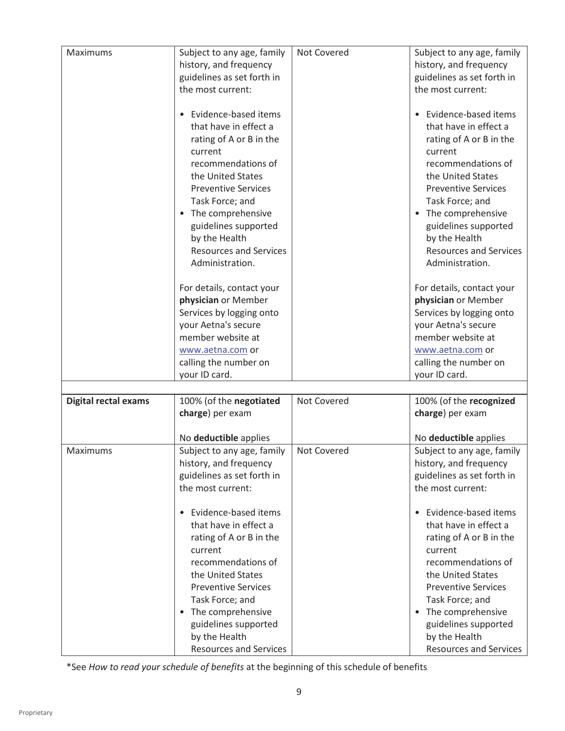|                             |                                   | Not Covered |                                   |
|-----------------------------|-----------------------------------|-------------|-----------------------------------|
| Maximums                    | Subject to any age, family        |             | Subject to any age, family        |
|                             | history, and frequency            |             | history, and frequency            |
|                             | guidelines as set forth in        |             | guidelines as set forth in        |
|                             | the most current:                 |             | the most current:                 |
|                             | Evidence-based items              |             | Evidence-based items              |
|                             | that have in effect a             |             | that have in effect a             |
|                             | rating of A or B in the           |             | rating of A or B in the           |
|                             | current                           |             | current                           |
|                             | recommendations of                |             | recommendations of                |
|                             | the United States                 |             | the United States                 |
|                             |                                   |             |                                   |
|                             | <b>Preventive Services</b>        |             | <b>Preventive Services</b>        |
|                             | Task Force; and                   |             | Task Force; and                   |
|                             | The comprehensive<br>$\bullet$    |             | • The comprehensive               |
|                             | guidelines supported              |             | guidelines supported              |
|                             | by the Health                     |             | by the Health                     |
|                             | <b>Resources and Services</b>     |             | <b>Resources and Services</b>     |
|                             | Administration.                   |             | Administration.                   |
|                             | For details, contact your         |             | For details, contact your         |
|                             | physician or Member               |             | physician or Member               |
|                             |                                   |             |                                   |
|                             | Services by logging onto          |             | Services by logging onto          |
|                             | your Aetna's secure               |             | your Aetna's secure               |
|                             | member website at                 |             | member website at                 |
|                             | www.aetna.com or                  |             | www.aetna.com or                  |
|                             | calling the number on             |             | calling the number on             |
|                             | your ID card.                     |             | your ID card.                     |
|                             |                                   |             |                                   |
| <b>Digital rectal exams</b> | 100% (of the negotiated           | Not Covered | 100% (of the recognized           |
|                             | charge) per exam                  |             | charge) per exam                  |
|                             | No deductible applies             |             | No deductible applies             |
| Maximums                    | Subject to any age, family        | Not Covered | Subject to any age, family        |
|                             | history, and frequency            |             | history, and frequency            |
|                             | guidelines as set forth in        |             | guidelines as set forth in        |
|                             | the most current:                 |             | the most current:                 |
|                             |                                   |             |                                   |
|                             | Evidence-based items<br>$\bullet$ |             | Evidence-based items<br>$\bullet$ |
|                             | that have in effect a             |             | that have in effect a             |
|                             | rating of A or B in the           |             | rating of A or B in the           |
|                             | current                           |             | current                           |
|                             | recommendations of                |             | recommendations of                |
|                             | the United States                 |             | the United States                 |
|                             | <b>Preventive Services</b>        |             | <b>Preventive Services</b>        |
|                             | Task Force; and                   |             | Task Force; and                   |
|                             | • The comprehensive               |             | • The comprehensive               |
|                             | guidelines supported              |             | guidelines supported              |
|                             | by the Health                     |             | by the Health                     |
|                             | <b>Resources and Services</b>     |             | <b>Resources and Services</b>     |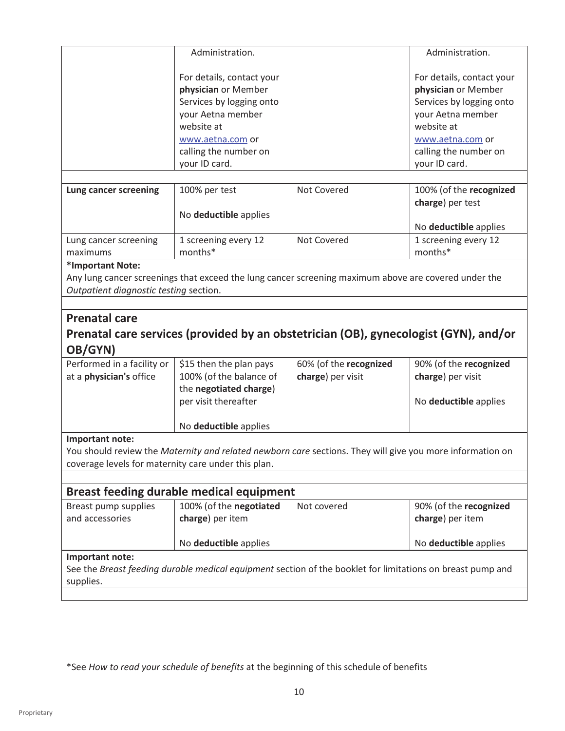|                                                     | Administration.                                                                                                                                                               |                        | Administration.                                                                                                                                                               |
|-----------------------------------------------------|-------------------------------------------------------------------------------------------------------------------------------------------------------------------------------|------------------------|-------------------------------------------------------------------------------------------------------------------------------------------------------------------------------|
|                                                     | For details, contact your<br>physician or Member<br>Services by logging onto<br>your Aetna member<br>website at<br>www.aetna.com or<br>calling the number on<br>your ID card. |                        | For details, contact your<br>physician or Member<br>Services by logging onto<br>your Aetna member<br>website at<br>www.aetna.com or<br>calling the number on<br>your ID card. |
| Lung cancer screening                               | 100% per test                                                                                                                                                                 | Not Covered            | 100% (of the recognized                                                                                                                                                       |
|                                                     | No deductible applies                                                                                                                                                         |                        | charge) per test                                                                                                                                                              |
|                                                     |                                                                                                                                                                               |                        | No deductible applies                                                                                                                                                         |
| Lung cancer screening<br>maximums                   | 1 screening every 12<br>months*                                                                                                                                               | Not Covered            | 1 screening every 12<br>months*                                                                                                                                               |
| *Important Note:                                    |                                                                                                                                                                               |                        |                                                                                                                                                                               |
|                                                     | Any lung cancer screenings that exceed the lung cancer screening maximum above are covered under the                                                                          |                        |                                                                                                                                                                               |
|                                                     |                                                                                                                                                                               |                        |                                                                                                                                                                               |
| Outpatient diagnostic testing section.              |                                                                                                                                                                               |                        |                                                                                                                                                                               |
|                                                     |                                                                                                                                                                               |                        |                                                                                                                                                                               |
|                                                     |                                                                                                                                                                               |                        |                                                                                                                                                                               |
| <b>Prenatal care</b>                                |                                                                                                                                                                               |                        | Prenatal care services (provided by an obstetrician (OB), gynecologist (GYN), and/or                                                                                          |
| OB/GYN)                                             |                                                                                                                                                                               |                        |                                                                                                                                                                               |
| Performed in a facility or                          | \$15 then the plan pays                                                                                                                                                       | 60% (of the recognized | 90% (of the recognized                                                                                                                                                        |
| at a <i>physician's</i> office                      | 100% (of the balance of                                                                                                                                                       | charge) per visit      | charge) per visit                                                                                                                                                             |
|                                                     | the negotiated charge)<br>per visit thereafter                                                                                                                                |                        | No deductible applies                                                                                                                                                         |
|                                                     | No deductible applies                                                                                                                                                         |                        |                                                                                                                                                                               |
| Important note:                                     |                                                                                                                                                                               |                        |                                                                                                                                                                               |
|                                                     | You should review the Maternity and related newborn care sections. They will give you more information on                                                                     |                        |                                                                                                                                                                               |
| coverage levels for maternity care under this plan. |                                                                                                                                                                               |                        |                                                                                                                                                                               |
|                                                     |                                                                                                                                                                               |                        |                                                                                                                                                                               |
|                                                     | <b>Breast feeding durable medical equipment</b>                                                                                                                               |                        |                                                                                                                                                                               |
| Breast pump supplies                                | 100% (of the negotiated                                                                                                                                                       | Not covered            | 90% (of the recognized                                                                                                                                                        |
| and accessories                                     | charge) per item                                                                                                                                                              |                        | charge) per item                                                                                                                                                              |
|                                                     | No deductible applies                                                                                                                                                         |                        | No deductible applies                                                                                                                                                         |
| Important note:                                     |                                                                                                                                                                               |                        |                                                                                                                                                                               |
| supplies.                                           | See the Breast feeding durable medical equipment section of the booklet for limitations on breast pump and                                                                    |                        |                                                                                                                                                                               |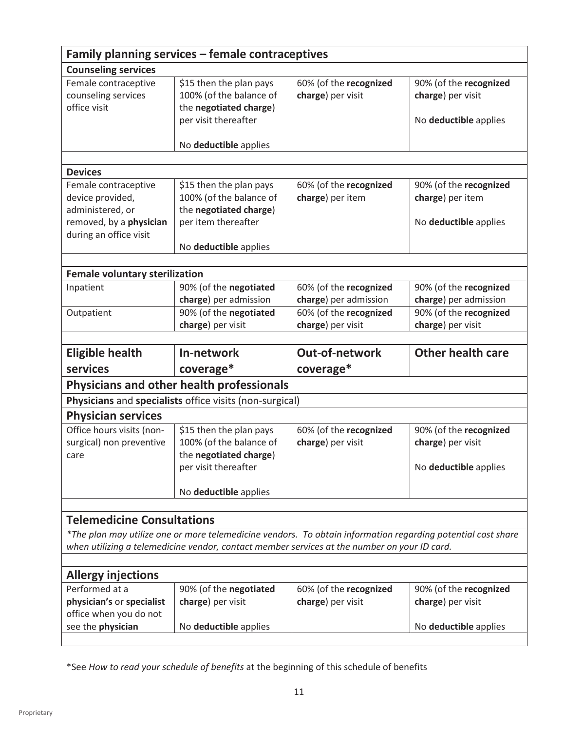| Family planning services - female contraceptives |                                                                                              |                        |                                                                                                              |  |
|--------------------------------------------------|----------------------------------------------------------------------------------------------|------------------------|--------------------------------------------------------------------------------------------------------------|--|
| <b>Counseling services</b>                       |                                                                                              |                        |                                                                                                              |  |
| Female contraceptive                             | \$15 then the plan pays                                                                      | 60% (of the recognized | 90% (of the recognized                                                                                       |  |
| counseling services                              | 100% (of the balance of                                                                      | charge) per visit      | charge) per visit                                                                                            |  |
| office visit                                     | the negotiated charge)                                                                       |                        |                                                                                                              |  |
|                                                  | per visit thereafter                                                                         |                        | No deductible applies                                                                                        |  |
|                                                  |                                                                                              |                        |                                                                                                              |  |
|                                                  | No deductible applies                                                                        |                        |                                                                                                              |  |
|                                                  |                                                                                              |                        |                                                                                                              |  |
| <b>Devices</b>                                   |                                                                                              |                        |                                                                                                              |  |
| Female contraceptive                             | \$15 then the plan pays                                                                      | 60% (of the recognized | 90% (of the recognized                                                                                       |  |
| device provided,                                 | 100% (of the balance of                                                                      | charge) per item       | charge) per item                                                                                             |  |
| administered, or                                 | the negotiated charge)                                                                       |                        |                                                                                                              |  |
| removed, by a physician                          | per item thereafter                                                                          |                        | No deductible applies                                                                                        |  |
| during an office visit                           |                                                                                              |                        |                                                                                                              |  |
|                                                  | No deductible applies                                                                        |                        |                                                                                                              |  |
|                                                  |                                                                                              |                        |                                                                                                              |  |
| <b>Female voluntary sterilization</b>            |                                                                                              |                        |                                                                                                              |  |
| Inpatient                                        | 90% (of the negotiated                                                                       | 60% (of the recognized | 90% (of the recognized                                                                                       |  |
|                                                  | charge) per admission                                                                        | charge) per admission  | charge) per admission                                                                                        |  |
| Outpatient                                       | 90% (of the negotiated                                                                       | 60% (of the recognized | 90% (of the recognized                                                                                       |  |
|                                                  | charge) per visit                                                                            | charge) per visit      | charge) per visit                                                                                            |  |
|                                                  |                                                                                              |                        |                                                                                                              |  |
|                                                  |                                                                                              |                        |                                                                                                              |  |
| <b>Eligible health</b>                           | In-network                                                                                   | <b>Out-of-network</b>  | <b>Other health care</b>                                                                                     |  |
| services                                         | coverage*                                                                                    | coverage*              |                                                                                                              |  |
|                                                  |                                                                                              |                        |                                                                                                              |  |
|                                                  | Physicians and other health professionals                                                    |                        |                                                                                                              |  |
|                                                  | Physicians and specialists office visits (non-surgical)                                      |                        |                                                                                                              |  |
| <b>Physician services</b>                        |                                                                                              |                        |                                                                                                              |  |
| Office hours visits (non-                        | \$15 then the plan pays                                                                      | 60% (of the recognized | 90% (of the recognized                                                                                       |  |
| surgical) non preventive                         | 100% (of the balance of                                                                      | charge) per visit      | charge) per visit                                                                                            |  |
| care                                             | the negotiated charge)                                                                       |                        |                                                                                                              |  |
|                                                  | per visit thereafter                                                                         |                        | No deductible applies                                                                                        |  |
|                                                  |                                                                                              |                        |                                                                                                              |  |
|                                                  | No deductible applies                                                                        |                        |                                                                                                              |  |
|                                                  |                                                                                              |                        |                                                                                                              |  |
| <b>Telemedicine Consultations</b>                |                                                                                              |                        |                                                                                                              |  |
|                                                  |                                                                                              |                        | *The plan may utilize one or more telemedicine vendors. To obtain information regarding potential cost share |  |
|                                                  | when utilizing a telemedicine vendor, contact member services at the number on your ID card. |                        |                                                                                                              |  |
|                                                  |                                                                                              |                        |                                                                                                              |  |
| <b>Allergy injections</b>                        |                                                                                              |                        |                                                                                                              |  |
| Performed at a                                   | 90% (of the negotiated                                                                       | 60% (of the recognized | 90% (of the recognized                                                                                       |  |
| physician's or specialist                        | charge) per visit                                                                            | charge) per visit      | charge) per visit                                                                                            |  |
| office when you do not                           |                                                                                              |                        |                                                                                                              |  |
| see the physician                                | No deductible applies                                                                        |                        | No deductible applies                                                                                        |  |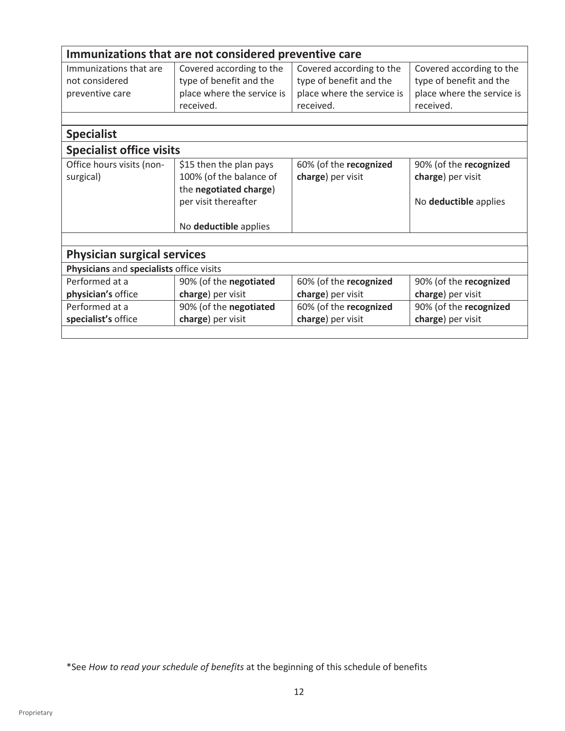| Immunizations that are not considered preventive care                          |                                                                                                                               |                                                                                                |                                                                                                |  |
|--------------------------------------------------------------------------------|-------------------------------------------------------------------------------------------------------------------------------|------------------------------------------------------------------------------------------------|------------------------------------------------------------------------------------------------|--|
| Immunizations that are<br>not considered<br>preventive care                    | Covered according to the<br>type of benefit and the<br>place where the service is<br>received.                                | Covered according to the<br>type of benefit and the<br>place where the service is<br>received. | Covered according to the<br>type of benefit and the<br>place where the service is<br>received. |  |
| <b>Specialist</b>                                                              |                                                                                                                               |                                                                                                |                                                                                                |  |
| <b>Specialist office visits</b>                                                |                                                                                                                               |                                                                                                |                                                                                                |  |
| Office hours visits (non-<br>surgical)                                         | \$15 then the plan pays<br>100% (of the balance of<br>the negotiated charge)<br>per visit thereafter<br>No deductible applies | 60% (of the recognized<br>charge) per visit                                                    | 90% (of the recognized<br>charge) per visit<br>No deductible applies                           |  |
|                                                                                |                                                                                                                               |                                                                                                |                                                                                                |  |
| <b>Physician surgical services</b><br>Physicians and specialists office visits |                                                                                                                               |                                                                                                |                                                                                                |  |
| Performed at a<br>physician's office                                           | 90% (of the negotiated<br>charge) per visit                                                                                   | 60% (of the recognized<br>charge) per visit                                                    | 90% (of the recognized<br>charge) per visit                                                    |  |
| Performed at a<br>specialist's office                                          | 90% (of the negotiated<br>charge) per visit                                                                                   | 60% (of the recognized<br>charge) per visit                                                    | 90% (of the recognized<br>charge) per visit                                                    |  |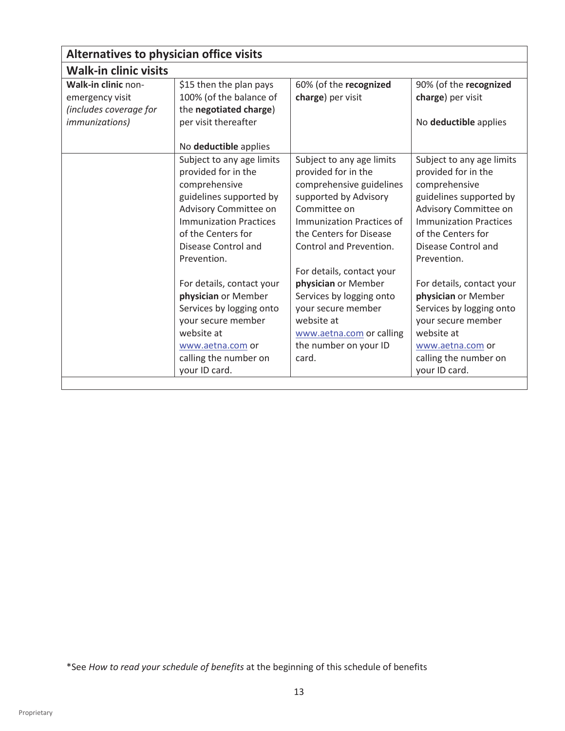| Alternatives to physician office visits |                               |                                  |                               |
|-----------------------------------------|-------------------------------|----------------------------------|-------------------------------|
| <b>Walk-in clinic visits</b>            |                               |                                  |                               |
| Walk-in clinic non-                     | \$15 then the plan pays       | 60% (of the recognized           | 90% (of the recognized        |
| emergency visit                         | 100% (of the balance of       | charge) per visit                | charge) per visit             |
| (includes coverage for                  | the negotiated charge)        |                                  |                               |
| <i>immunizations</i> )                  | per visit thereafter          |                                  | No deductible applies         |
|                                         |                               |                                  |                               |
|                                         | No deductible applies         |                                  |                               |
|                                         | Subject to any age limits     | Subject to any age limits        | Subject to any age limits     |
|                                         | provided for in the           | provided for in the              | provided for in the           |
|                                         | comprehensive                 | comprehensive guidelines         | comprehensive                 |
|                                         | guidelines supported by       | supported by Advisory            | guidelines supported by       |
|                                         | Advisory Committee on         | Committee on                     | Advisory Committee on         |
|                                         | <b>Immunization Practices</b> | <b>Immunization Practices of</b> | <b>Immunization Practices</b> |
|                                         | of the Centers for            | the Centers for Disease          | of the Centers for            |
|                                         | Disease Control and           | Control and Prevention.          | Disease Control and           |
|                                         | Prevention.                   |                                  | Prevention.                   |
|                                         |                               | For details, contact your        |                               |
|                                         | For details, contact your     | physician or Member              | For details, contact your     |
|                                         | physician or Member           | Services by logging onto         | physician or Member           |
|                                         | Services by logging onto      | your secure member               | Services by logging onto      |
|                                         | your secure member            | website at                       | your secure member            |
|                                         | website at                    | www.aetna.com or calling         | website at                    |
|                                         | www.aetna.com or              | the number on your ID            | www.aetna.com or              |
|                                         | calling the number on         | card.                            | calling the number on         |
|                                         | your ID card.                 |                                  | your ID card.                 |
|                                         |                               |                                  |                               |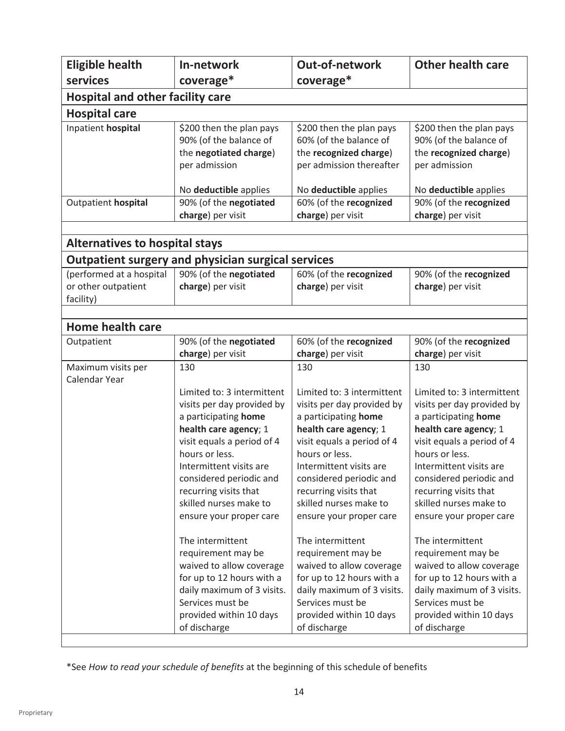| <b>Eligible health</b>                                       | In-network                                                                                                                                                                                                                                                                                                                                                                                       | <b>Out-of-network</b>                                                                                                                                                                                                                                                                                                                                                                            | <b>Other health care</b>                                                                                                                                                                                                                                                                                                                                                                         |  |
|--------------------------------------------------------------|--------------------------------------------------------------------------------------------------------------------------------------------------------------------------------------------------------------------------------------------------------------------------------------------------------------------------------------------------------------------------------------------------|--------------------------------------------------------------------------------------------------------------------------------------------------------------------------------------------------------------------------------------------------------------------------------------------------------------------------------------------------------------------------------------------------|--------------------------------------------------------------------------------------------------------------------------------------------------------------------------------------------------------------------------------------------------------------------------------------------------------------------------------------------------------------------------------------------------|--|
| services                                                     | coverage*                                                                                                                                                                                                                                                                                                                                                                                        | coverage*                                                                                                                                                                                                                                                                                                                                                                                        |                                                                                                                                                                                                                                                                                                                                                                                                  |  |
| <b>Hospital and other facility care</b>                      |                                                                                                                                                                                                                                                                                                                                                                                                  |                                                                                                                                                                                                                                                                                                                                                                                                  |                                                                                                                                                                                                                                                                                                                                                                                                  |  |
| <b>Hospital care</b>                                         |                                                                                                                                                                                                                                                                                                                                                                                                  |                                                                                                                                                                                                                                                                                                                                                                                                  |                                                                                                                                                                                                                                                                                                                                                                                                  |  |
| Inpatient hospital                                           | \$200 then the plan pays<br>90% (of the balance of<br>the negotiated charge)<br>per admission                                                                                                                                                                                                                                                                                                    | \$200 then the plan pays<br>60% (of the balance of<br>the recognized charge)<br>per admission thereafter                                                                                                                                                                                                                                                                                         | \$200 then the plan pays<br>90% (of the balance of<br>the recognized charge)<br>per admission                                                                                                                                                                                                                                                                                                    |  |
|                                                              | No deductible applies                                                                                                                                                                                                                                                                                                                                                                            | No deductible applies                                                                                                                                                                                                                                                                                                                                                                            | No deductible applies                                                                                                                                                                                                                                                                                                                                                                            |  |
| Outpatient hospital                                          | 90% (of the negotiated<br>charge) per visit                                                                                                                                                                                                                                                                                                                                                      | 60% (of the recognized<br>charge) per visit                                                                                                                                                                                                                                                                                                                                                      | 90% (of the recognized<br>charge) per visit                                                                                                                                                                                                                                                                                                                                                      |  |
| <b>Alternatives to hospital stays</b>                        |                                                                                                                                                                                                                                                                                                                                                                                                  |                                                                                                                                                                                                                                                                                                                                                                                                  |                                                                                                                                                                                                                                                                                                                                                                                                  |  |
|                                                              | <b>Outpatient surgery and physician surgical services</b>                                                                                                                                                                                                                                                                                                                                        |                                                                                                                                                                                                                                                                                                                                                                                                  |                                                                                                                                                                                                                                                                                                                                                                                                  |  |
| (performed at a hospital<br>or other outpatient<br>facility) | 90% (of the negotiated<br>charge) per visit                                                                                                                                                                                                                                                                                                                                                      | 60% (of the recognized<br>charge) per visit                                                                                                                                                                                                                                                                                                                                                      | 90% (of the recognized<br>charge) per visit                                                                                                                                                                                                                                                                                                                                                      |  |
|                                                              |                                                                                                                                                                                                                                                                                                                                                                                                  |                                                                                                                                                                                                                                                                                                                                                                                                  |                                                                                                                                                                                                                                                                                                                                                                                                  |  |
| <b>Home health care</b>                                      |                                                                                                                                                                                                                                                                                                                                                                                                  |                                                                                                                                                                                                                                                                                                                                                                                                  |                                                                                                                                                                                                                                                                                                                                                                                                  |  |
| Outpatient                                                   | 90% (of the negotiated<br>charge) per visit                                                                                                                                                                                                                                                                                                                                                      | 60% (of the recognized<br>charge) per visit                                                                                                                                                                                                                                                                                                                                                      | 90% (of the recognized<br>charge) per visit                                                                                                                                                                                                                                                                                                                                                      |  |
| Maximum visits per<br>Calendar Year                          | Limited to: 3 intermittent<br>visits per day provided by<br>a participating home<br>health care agency; 1<br>visit equals a period of 4<br>hours or less.<br>Intermittent visits are<br>considered periodic and<br>recurring visits that<br>skilled nurses make to<br>ensure your proper care<br>The intermittent<br>requirement may be<br>waived to allow coverage<br>for up to 12 hours with a | Limited to: 3 intermittent<br>visits per day provided by<br>a participating home<br>health care agency; 1<br>visit equals a period of 4<br>hours or less.<br>Intermittent visits are<br>considered periodic and<br>recurring visits that<br>skilled nurses make to<br>ensure your proper care<br>The intermittent<br>requirement may be<br>waived to allow coverage<br>for up to 12 hours with a | Limited to: 3 intermittent<br>visits per day provided by<br>a participating home<br>health care agency; 1<br>visit equals a period of 4<br>hours or less.<br>Intermittent visits are<br>considered periodic and<br>recurring visits that<br>skilled nurses make to<br>ensure your proper care<br>The intermittent<br>requirement may be<br>waived to allow coverage<br>for up to 12 hours with a |  |
|                                                              | daily maximum of 3 visits.<br>Services must be<br>provided within 10 days<br>of discharge                                                                                                                                                                                                                                                                                                        | daily maximum of 3 visits.<br>Services must be<br>provided within 10 days<br>of discharge                                                                                                                                                                                                                                                                                                        | daily maximum of 3 visits.<br>Services must be<br>provided within 10 days<br>of discharge                                                                                                                                                                                                                                                                                                        |  |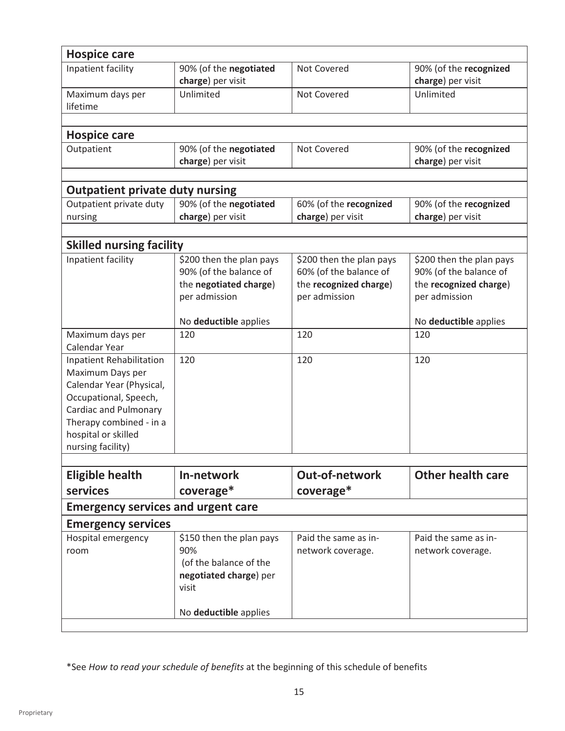| <b>Hospice care</b>                                                                                                                                                                                             |                                                                                               |                                                                                               |                                                                                               |
|-----------------------------------------------------------------------------------------------------------------------------------------------------------------------------------------------------------------|-----------------------------------------------------------------------------------------------|-----------------------------------------------------------------------------------------------|-----------------------------------------------------------------------------------------------|
| Inpatient facility                                                                                                                                                                                              | 90% (of the negotiated<br>charge) per visit                                                   | Not Covered                                                                                   | 90% (of the recognized<br>charge) per visit                                                   |
| Maximum days per<br>lifetime                                                                                                                                                                                    | Unlimited                                                                                     | Not Covered                                                                                   | Unlimited                                                                                     |
| <b>Hospice care</b>                                                                                                                                                                                             |                                                                                               |                                                                                               |                                                                                               |
| Outpatient                                                                                                                                                                                                      | 90% (of the negotiated<br>charge) per visit                                                   | Not Covered                                                                                   | 90% (of the recognized<br>charge) per visit                                                   |
| <b>Outpatient private duty nursing</b>                                                                                                                                                                          |                                                                                               |                                                                                               |                                                                                               |
| Outpatient private duty                                                                                                                                                                                         | 90% (of the negotiated                                                                        | 60% (of the recognized                                                                        | 90% (of the recognized                                                                        |
| nursing                                                                                                                                                                                                         | charge) per visit                                                                             | charge) per visit                                                                             | charge) per visit                                                                             |
|                                                                                                                                                                                                                 |                                                                                               |                                                                                               |                                                                                               |
| <b>Skilled nursing facility</b>                                                                                                                                                                                 |                                                                                               |                                                                                               |                                                                                               |
| Inpatient facility                                                                                                                                                                                              | \$200 then the plan pays<br>90% (of the balance of<br>the negotiated charge)<br>per admission | \$200 then the plan pays<br>60% (of the balance of<br>the recognized charge)<br>per admission | \$200 then the plan pays<br>90% (of the balance of<br>the recognized charge)<br>per admission |
|                                                                                                                                                                                                                 | No deductible applies                                                                         |                                                                                               | No deductible applies                                                                         |
| Maximum days per<br>Calendar Year                                                                                                                                                                               | 120                                                                                           | 120                                                                                           | 120                                                                                           |
| <b>Inpatient Rehabilitation</b><br>Maximum Days per<br>Calendar Year (Physical,<br>Occupational, Speech,<br><b>Cardiac and Pulmonary</b><br>Therapy combined - in a<br>hospital or skilled<br>nursing facility) | 120                                                                                           | 120                                                                                           | 120                                                                                           |
|                                                                                                                                                                                                                 |                                                                                               |                                                                                               |                                                                                               |
| <b>Eligible health</b><br>services                                                                                                                                                                              | In-network<br>coverage*                                                                       | Out-of-network<br>coverage*                                                                   | <b>Other health care</b>                                                                      |
| <b>Emergency services and urgent care</b>                                                                                                                                                                       |                                                                                               |                                                                                               |                                                                                               |
|                                                                                                                                                                                                                 |                                                                                               |                                                                                               |                                                                                               |
| <b>Emergency services</b><br>Hospital emergency                                                                                                                                                                 | \$150 then the plan pays                                                                      | Paid the same as in-                                                                          | Paid the same as in-                                                                          |
| room                                                                                                                                                                                                            | 90%<br>(of the balance of the<br>negotiated charge) per<br>visit                              | network coverage.                                                                             | network coverage.                                                                             |
|                                                                                                                                                                                                                 | No deductible applies                                                                         |                                                                                               |                                                                                               |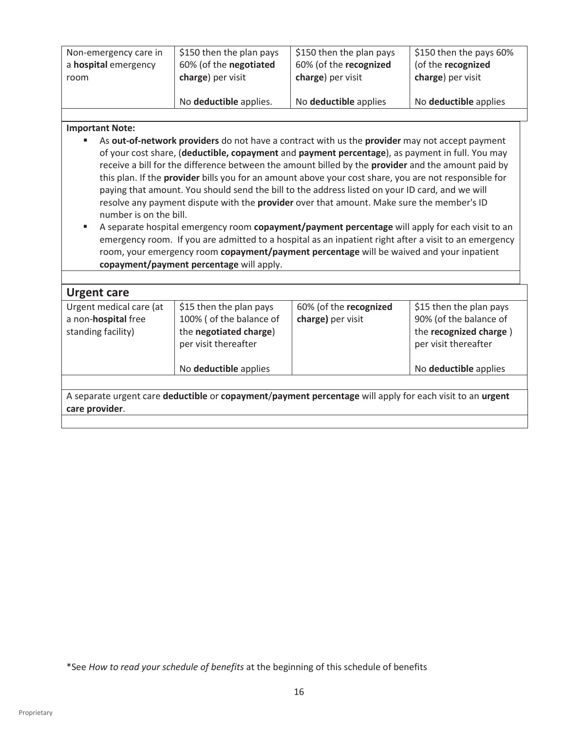| room |                        |                       | $\frac{1}{2}$ \$150 then the pays 60%<br>(of the recognized |
|------|------------------------|-----------------------|-------------------------------------------------------------|
|      | charge) per visit      | charge) per visit     | charge) per visit                                           |
|      | No deductible applies. | No deductible applies | No deductible applies                                       |

#### **Important Note:**

- As **out-of-network providers** do not have a contract with us the **provider** may not accept payment of your cost share, (**deductible, copayment** and **payment percentage**), as payment in full. You may receive a bill for the difference between the amount billed by the **provider** and the amount paid by this plan. If the **provider** bills you for an amount above your cost share, you are not responsible for paying that amount. You should send the bill to the address listed on your ID card, and we will resolve any payment dispute with the **provider** over that amount. Make sure the member's ID number is on the bill.
- A separate hospital emergency room **copayment/payment percentage** will apply for each visit to an emergency room. If you are admitted to a hospital as an inpatient right after a visit to an emergency room, your emergency room **copayment/payment percentage** will be waived and your inpatient **copayment/payment percentage** will apply.

| <b>Urgent care</b>                                                           |                                                                                                       |                                             |                                                                                                     |
|------------------------------------------------------------------------------|-------------------------------------------------------------------------------------------------------|---------------------------------------------|-----------------------------------------------------------------------------------------------------|
| Urgent medical care (at<br>a non- <b>hospital</b> free<br>standing facility) | \$15 then the plan pays<br>100% ( of the balance of<br>the negotiated charge)<br>per visit thereafter | 60% (of the recognized<br>charge) per visit | \$15 then the plan pays<br>90% (of the balance of<br>the recognized charge)<br>per visit thereafter |
|                                                                              | No deductible applies                                                                                 |                                             | No deductible applies                                                                               |
|                                                                              |                                                                                                       |                                             |                                                                                                     |

A separate urgent care **deductible** or **copayment**/**payment percentage** will apply for each visit to an **urgent care provider**.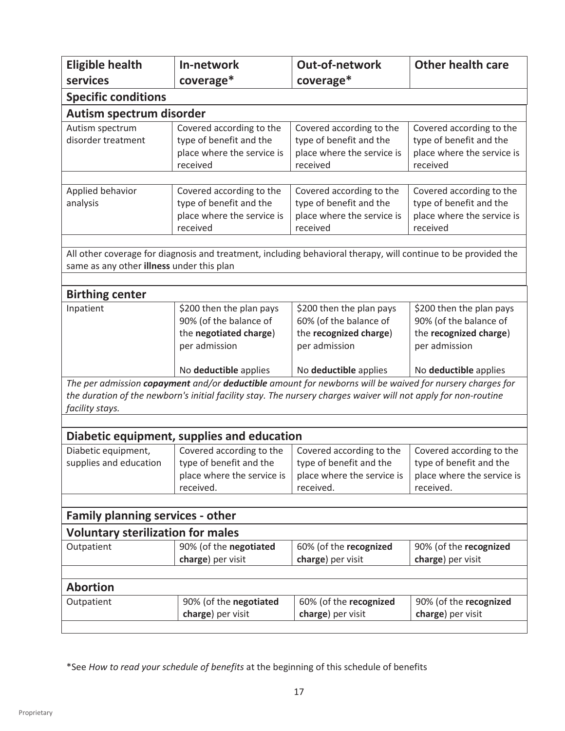| <b>Eligible health</b>                    | In-network                                          | <b>Out-of-network</b>                                                                                          | <b>Other health care</b>                            |  |  |  |
|-------------------------------------------|-----------------------------------------------------|----------------------------------------------------------------------------------------------------------------|-----------------------------------------------------|--|--|--|
| services                                  | coverage*                                           | coverage*                                                                                                      |                                                     |  |  |  |
| <b>Specific conditions</b>                |                                                     |                                                                                                                |                                                     |  |  |  |
| Autism spectrum disorder                  |                                                     |                                                                                                                |                                                     |  |  |  |
| Autism spectrum                           | Covered according to the                            | Covered according to the                                                                                       | Covered according to the                            |  |  |  |
| disorder treatment                        | type of benefit and the                             | type of benefit and the                                                                                        | type of benefit and the                             |  |  |  |
|                                           | place where the service is                          | place where the service is                                                                                     | place where the service is                          |  |  |  |
|                                           | received                                            | received                                                                                                       | received                                            |  |  |  |
|                                           |                                                     |                                                                                                                |                                                     |  |  |  |
| Applied behavior                          | Covered according to the<br>type of benefit and the | Covered according to the<br>type of benefit and the                                                            | Covered according to the<br>type of benefit and the |  |  |  |
| analysis                                  | place where the service is                          | place where the service is                                                                                     | place where the service is                          |  |  |  |
|                                           | received                                            | received                                                                                                       | received                                            |  |  |  |
|                                           |                                                     |                                                                                                                |                                                     |  |  |  |
|                                           |                                                     | All other coverage for diagnosis and treatment, including behavioral therapy, will continue to be provided the |                                                     |  |  |  |
| same as any other illness under this plan |                                                     |                                                                                                                |                                                     |  |  |  |
|                                           |                                                     |                                                                                                                |                                                     |  |  |  |
| <b>Birthing center</b>                    |                                                     |                                                                                                                |                                                     |  |  |  |
| Inpatient                                 | \$200 then the plan pays                            | \$200 then the plan pays                                                                                       | \$200 then the plan pays                            |  |  |  |
|                                           | 90% (of the balance of                              | 60% (of the balance of                                                                                         | 90% (of the balance of                              |  |  |  |
|                                           | the negotiated charge)                              | the recognized charge)                                                                                         | the recognized charge)                              |  |  |  |
|                                           | per admission                                       | per admission                                                                                                  | per admission                                       |  |  |  |
|                                           | No deductible applies                               | No deductible applies                                                                                          | No deductible applies                               |  |  |  |
|                                           |                                                     | The per admission copayment and/or deductible amount for newborns will be waived for nursery charges for       |                                                     |  |  |  |
|                                           |                                                     | the duration of the newborn's initial facility stay. The nursery charges waiver will not apply for non-routine |                                                     |  |  |  |
| facility stays.                           |                                                     |                                                                                                                |                                                     |  |  |  |
|                                           | Diabetic equipment, supplies and education          |                                                                                                                |                                                     |  |  |  |
| Diabetic equipment,                       | Covered according to the                            | Covered according to the                                                                                       | Covered according to the                            |  |  |  |
| supplies and education                    | type of benefit and the                             | type of benefit and the                                                                                        | type of benefit and the                             |  |  |  |
|                                           | place where the service is                          | place where the service is                                                                                     | place where the service is                          |  |  |  |
|                                           | received.                                           | received.                                                                                                      | received.                                           |  |  |  |
|                                           |                                                     |                                                                                                                |                                                     |  |  |  |
| <b>Family planning services - other</b>   |                                                     |                                                                                                                |                                                     |  |  |  |
| <b>Voluntary sterilization for males</b>  |                                                     |                                                                                                                |                                                     |  |  |  |
| Outpatient                                | 90% (of the negotiated                              | 60% (of the recognized                                                                                         | 90% (of the recognized                              |  |  |  |
|                                           | charge) per visit                                   | charge) per visit                                                                                              | charge) per visit                                   |  |  |  |
|                                           |                                                     |                                                                                                                |                                                     |  |  |  |
| <b>Abortion</b>                           |                                                     |                                                                                                                |                                                     |  |  |  |
| Outpatient                                | 90% (of the negotiated                              | 60% (of the recognized                                                                                         | 90% (of the recognized                              |  |  |  |
|                                           | charge) per visit                                   | charge) per visit                                                                                              | charge) per visit                                   |  |  |  |
|                                           |                                                     |                                                                                                                |                                                     |  |  |  |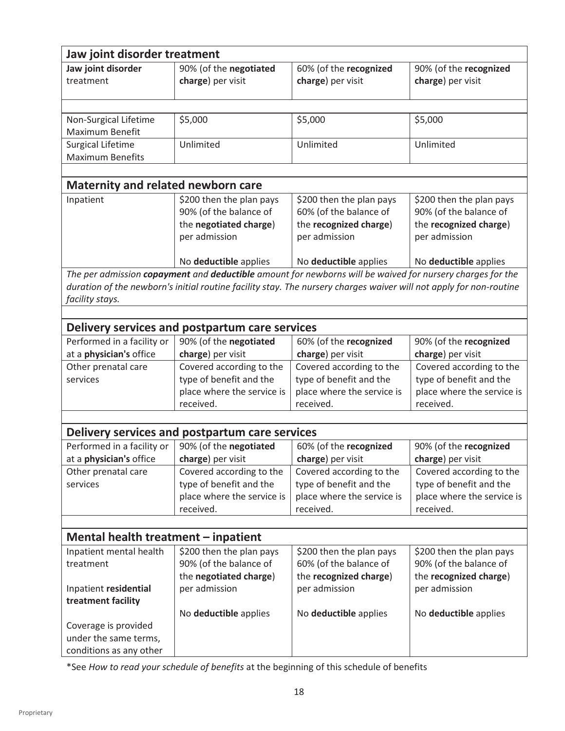|                                                     | Jaw joint disorder treatment                          |                                                                                                                    |                                                       |  |  |  |
|-----------------------------------------------------|-------------------------------------------------------|--------------------------------------------------------------------------------------------------------------------|-------------------------------------------------------|--|--|--|
| Jaw joint disorder                                  | 90% (of the negotiated                                | 60% (of the recognized                                                                                             | 90% (of the recognized                                |  |  |  |
| treatment                                           | charge) per visit                                     | charge) per visit                                                                                                  | charge) per visit                                     |  |  |  |
|                                                     |                                                       |                                                                                                                    |                                                       |  |  |  |
|                                                     |                                                       |                                                                                                                    |                                                       |  |  |  |
| Non-Surgical Lifetime                               | \$5,000                                               | \$5,000                                                                                                            | \$5,000                                               |  |  |  |
| Maximum Benefit                                     |                                                       |                                                                                                                    |                                                       |  |  |  |
| <b>Surgical Lifetime</b><br><b>Maximum Benefits</b> | Unlimited                                             | Unlimited                                                                                                          | Unlimited                                             |  |  |  |
|                                                     |                                                       |                                                                                                                    |                                                       |  |  |  |
| <b>Maternity and related newborn care</b>           |                                                       |                                                                                                                    |                                                       |  |  |  |
| Inpatient                                           | \$200 then the plan pays                              | \$200 then the plan pays                                                                                           | \$200 then the plan pays                              |  |  |  |
|                                                     | 90% (of the balance of                                | 60% (of the balance of                                                                                             | 90% (of the balance of                                |  |  |  |
|                                                     | the negotiated charge)                                | the recognized charge)                                                                                             | the recognized charge)                                |  |  |  |
|                                                     | per admission                                         | per admission                                                                                                      | per admission                                         |  |  |  |
|                                                     |                                                       |                                                                                                                    |                                                       |  |  |  |
|                                                     | No deductible applies                                 | No deductible applies                                                                                              | No deductible applies                                 |  |  |  |
|                                                     |                                                       | The per admission copayment and deductible amount for newborns will be waived for nursery charges for the          |                                                       |  |  |  |
|                                                     |                                                       | duration of the newborn's initial routine facility stay. The nursery charges waiver will not apply for non-routine |                                                       |  |  |  |
| facility stays.                                     |                                                       |                                                                                                                    |                                                       |  |  |  |
|                                                     |                                                       |                                                                                                                    |                                                       |  |  |  |
|                                                     | Delivery services and postpartum care services        |                                                                                                                    |                                                       |  |  |  |
| Performed in a facility or                          | 90% (of the negotiated                                | 60% (of the recognized                                                                                             | 90% (of the recognized                                |  |  |  |
| at a physician's office                             | charge) per visit                                     | charge) per visit                                                                                                  | charge) per visit                                     |  |  |  |
| Other prenatal care                                 | Covered according to the                              | Covered according to the                                                                                           | Covered according to the                              |  |  |  |
| services                                            | type of benefit and the<br>place where the service is | type of benefit and the<br>place where the service is                                                              | type of benefit and the<br>place where the service is |  |  |  |
|                                                     | received.                                             | received.                                                                                                          | received.                                             |  |  |  |
|                                                     |                                                       |                                                                                                                    |                                                       |  |  |  |
|                                                     | Delivery services and postpartum care services        |                                                                                                                    |                                                       |  |  |  |
| Performed in a facility or                          | 90% (of the negotiated                                | 60% (of the recognized                                                                                             | 90% (of the recognized                                |  |  |  |
| at a physician's office                             | charge) per visit                                     | charge) per visit                                                                                                  | charge) per visit                                     |  |  |  |
| Other prenatal care                                 | Covered according to the                              | Covered according to the                                                                                           | Covered according to the                              |  |  |  |
| services                                            | type of benefit and the                               | type of benefit and the                                                                                            | type of benefit and the                               |  |  |  |
|                                                     | place where the service is                            | place where the service is                                                                                         | place where the service is                            |  |  |  |
|                                                     | received.                                             | received.                                                                                                          | received.                                             |  |  |  |
|                                                     |                                                       |                                                                                                                    |                                                       |  |  |  |
| Mental health treatment – inpatient                 |                                                       |                                                                                                                    |                                                       |  |  |  |
| Inpatient mental health                             | \$200 then the plan pays                              | \$200 then the plan pays                                                                                           | \$200 then the plan pays                              |  |  |  |
| treatment                                           | 90% (of the balance of                                | 60% (of the balance of                                                                                             | 90% (of the balance of                                |  |  |  |
|                                                     | the negotiated charge)                                | the recognized charge)                                                                                             | the recognized charge)                                |  |  |  |
| Inpatient residential                               | per admission                                         | per admission                                                                                                      | per admission                                         |  |  |  |
| treatment facility                                  |                                                       |                                                                                                                    |                                                       |  |  |  |
|                                                     | No deductible applies                                 | No deductible applies                                                                                              | No deductible applies                                 |  |  |  |
| Coverage is provided                                |                                                       |                                                                                                                    |                                                       |  |  |  |
| under the same terms,                               |                                                       |                                                                                                                    |                                                       |  |  |  |
| conditions as any other                             |                                                       |                                                                                                                    |                                                       |  |  |  |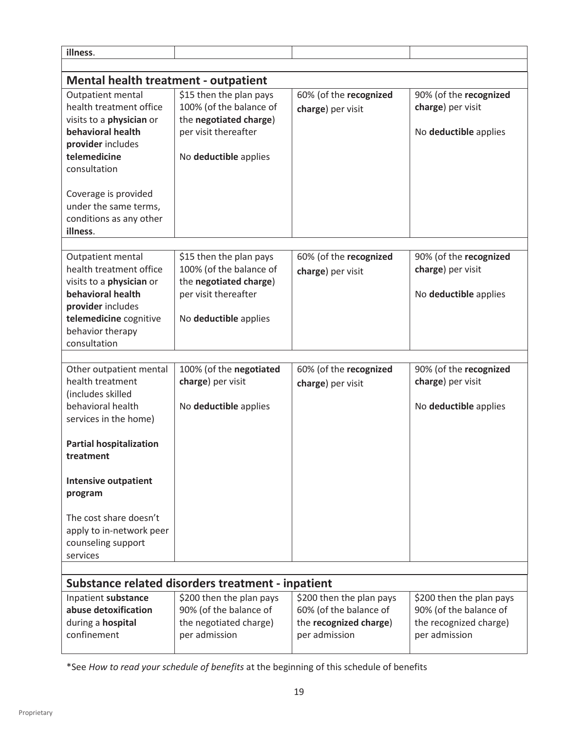| illness.                                       |                                                    |                          |                                             |  |  |  |
|------------------------------------------------|----------------------------------------------------|--------------------------|---------------------------------------------|--|--|--|
|                                                |                                                    |                          |                                             |  |  |  |
| <b>Mental health treatment - outpatient</b>    |                                                    |                          |                                             |  |  |  |
| Outpatient mental<br>health treatment office   | \$15 then the plan pays<br>100% (of the balance of | 60% (of the recognized   | 90% (of the recognized<br>charge) per visit |  |  |  |
| visits to a physician or                       | the negotiated charge)                             | charge) per visit        |                                             |  |  |  |
| behavioral health                              | per visit thereafter                               |                          | No deductible applies                       |  |  |  |
| provider includes                              |                                                    |                          |                                             |  |  |  |
| telemedicine                                   | No deductible applies                              |                          |                                             |  |  |  |
| consultation                                   |                                                    |                          |                                             |  |  |  |
|                                                |                                                    |                          |                                             |  |  |  |
| Coverage is provided                           |                                                    |                          |                                             |  |  |  |
| under the same terms,                          |                                                    |                          |                                             |  |  |  |
| conditions as any other                        |                                                    |                          |                                             |  |  |  |
| illness.                                       |                                                    |                          |                                             |  |  |  |
| Outpatient mental                              | \$15 then the plan pays                            | 60% (of the recognized   | 90% (of the recognized                      |  |  |  |
| health treatment office                        | 100% (of the balance of                            |                          | charge) per visit                           |  |  |  |
| visits to a physician or                       | the negotiated charge)                             | charge) per visit        |                                             |  |  |  |
| behavioral health                              | per visit thereafter                               |                          | No deductible applies                       |  |  |  |
| provider includes                              |                                                    |                          |                                             |  |  |  |
| telemedicine cognitive                         | No deductible applies                              |                          |                                             |  |  |  |
| behavior therapy                               |                                                    |                          |                                             |  |  |  |
| consultation                                   |                                                    |                          |                                             |  |  |  |
|                                                |                                                    |                          |                                             |  |  |  |
| Other outpatient mental                        | 100% (of the negotiated                            | 60% (of the recognized   | 90% (of the recognized                      |  |  |  |
| health treatment                               | charge) per visit                                  | charge) per visit        | charge) per visit                           |  |  |  |
| (includes skilled<br>behavioral health         |                                                    |                          |                                             |  |  |  |
| services in the home)                          | No deductible applies                              |                          | No deductible applies                       |  |  |  |
|                                                |                                                    |                          |                                             |  |  |  |
| <b>Partial hospitalization</b>                 |                                                    |                          |                                             |  |  |  |
| treatment                                      |                                                    |                          |                                             |  |  |  |
|                                                |                                                    |                          |                                             |  |  |  |
| <b>Intensive outpatient</b>                    |                                                    |                          |                                             |  |  |  |
| program                                        |                                                    |                          |                                             |  |  |  |
| The cost share doesn't                         |                                                    |                          |                                             |  |  |  |
|                                                |                                                    |                          |                                             |  |  |  |
| apply to in-network peer<br>counseling support |                                                    |                          |                                             |  |  |  |
| services                                       |                                                    |                          |                                             |  |  |  |
|                                                |                                                    |                          |                                             |  |  |  |
|                                                | Substance related disorders treatment - inpatient  |                          |                                             |  |  |  |
| Inpatient substance                            | \$200 then the plan pays                           | \$200 then the plan pays | \$200 then the plan pays                    |  |  |  |
| abuse detoxification                           | 90% (of the balance of                             | 60% (of the balance of   | 90% (of the balance of                      |  |  |  |
| during a hospital                              | the negotiated charge)                             | the recognized charge)   | the recognized charge)                      |  |  |  |
| confinement                                    | per admission                                      | per admission            | per admission                               |  |  |  |
|                                                |                                                    |                          |                                             |  |  |  |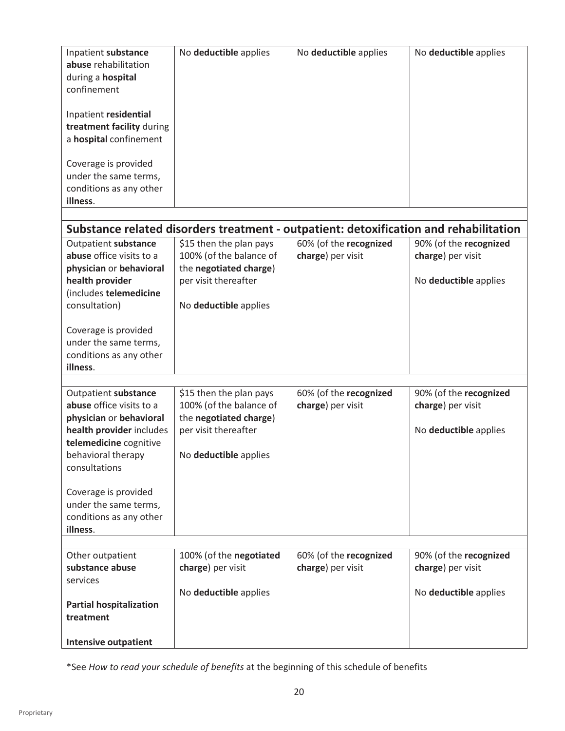| Inpatient substance<br>abuse rehabilitation<br>during a hospital<br>confinement<br>Inpatient residential<br>treatment facility during<br>a hospital confinement<br>Coverage is provided<br>under the same terms,<br>conditions as any other<br>illness. | No deductible applies                                                                                                         | No deductible applies                                                                 | No deductible applies                                                |
|---------------------------------------------------------------------------------------------------------------------------------------------------------------------------------------------------------------------------------------------------------|-------------------------------------------------------------------------------------------------------------------------------|---------------------------------------------------------------------------------------|----------------------------------------------------------------------|
|                                                                                                                                                                                                                                                         |                                                                                                                               | Substance related disorders treatment - outpatient: detoxification and rehabilitation |                                                                      |
| Outpatient substance<br>abuse office visits to a<br>physician or behavioral<br>health provider<br>(includes telemedicine<br>consultation)                                                                                                               | \$15 then the plan pays<br>100% (of the balance of<br>the negotiated charge)<br>per visit thereafter<br>No deductible applies | 60% (of the recognized<br>charge) per visit                                           | 90% (of the recognized<br>charge) per visit<br>No deductible applies |
| Coverage is provided<br>under the same terms,<br>conditions as any other<br>illness.                                                                                                                                                                    |                                                                                                                               |                                                                                       |                                                                      |
| Outpatient substance<br>abuse office visits to a<br>physician or behavioral<br>health provider includes<br>telemedicine cognitive<br>behavioral therapy<br>consultations<br>Coverage is provided<br>under the same terms,                               | \$15 then the plan pays<br>100% (of the balance of<br>the negotiated charge)<br>per visit thereafter<br>No deductible applies | 60% (of the recognized<br>charge) per visit                                           | 90% (of the recognized<br>charge) per visit<br>No deductible applies |
| conditions as any other<br>illness.                                                                                                                                                                                                                     |                                                                                                                               |                                                                                       |                                                                      |
| Other outpatient<br>substance abuse<br>services<br><b>Partial hospitalization</b><br>treatment                                                                                                                                                          | 100% (of the negotiated<br>charge) per visit<br>No deductible applies                                                         | 60% (of the recognized<br>charge) per visit                                           | 90% (of the recognized<br>charge) per visit<br>No deductible applies |
| <b>Intensive outpatient</b>                                                                                                                                                                                                                             |                                                                                                                               |                                                                                       |                                                                      |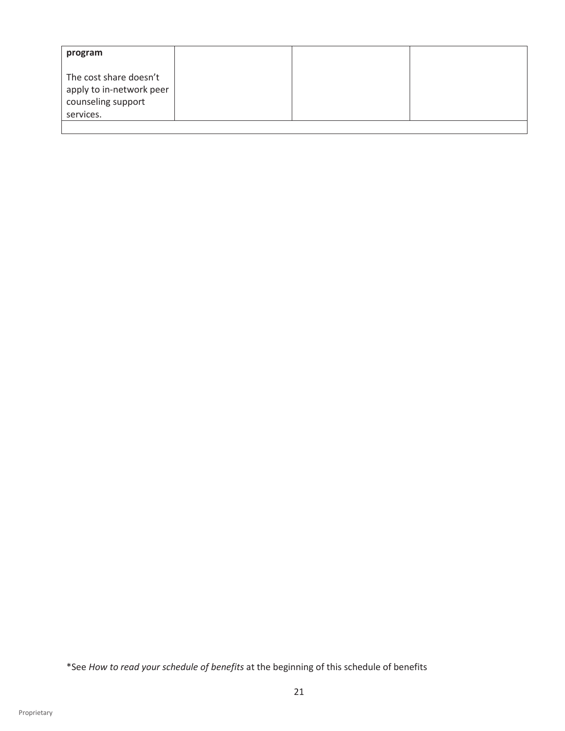| program                                                                               |  |  |
|---------------------------------------------------------------------------------------|--|--|
| The cost share doesn't<br>apply to in-network peer<br>counseling support<br>services. |  |  |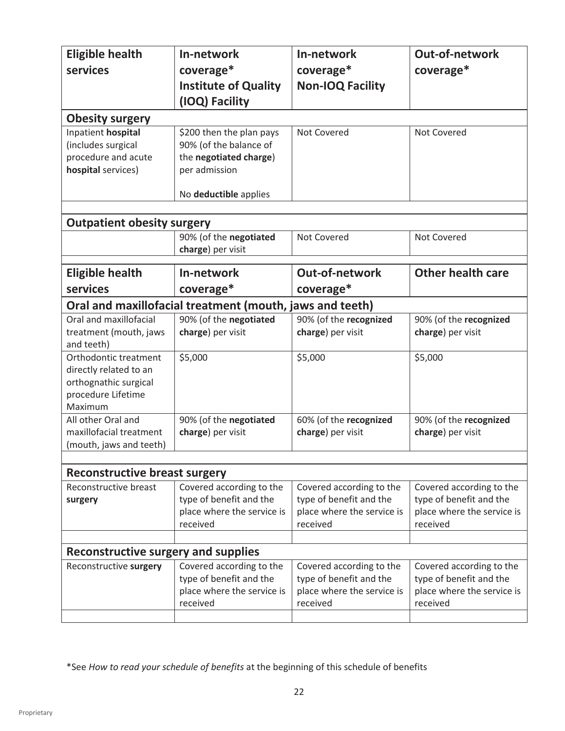| <b>Eligible health</b>                     | In-network                                               | In-network                 | <b>Out-of-network</b>      |
|--------------------------------------------|----------------------------------------------------------|----------------------------|----------------------------|
| services                                   | coverage*                                                | coverage*                  | coverage*                  |
|                                            | <b>Institute of Quality</b>                              | <b>Non-IOQ Facility</b>    |                            |
|                                            |                                                          |                            |                            |
|                                            | (IOQ) Facility                                           |                            |                            |
| <b>Obesity surgery</b>                     |                                                          |                            |                            |
| Inpatient hospital                         | \$200 then the plan pays                                 | <b>Not Covered</b>         | Not Covered                |
| (includes surgical                         | 90% (of the balance of                                   |                            |                            |
| procedure and acute                        | the negotiated charge)                                   |                            |                            |
| hospital services)                         | per admission                                            |                            |                            |
|                                            | No deductible applies                                    |                            |                            |
|                                            |                                                          |                            |                            |
| <b>Outpatient obesity surgery</b>          |                                                          |                            |                            |
|                                            | 90% (of the negotiated                                   | <b>Not Covered</b>         | Not Covered                |
|                                            | charge) per visit                                        |                            |                            |
| <b>Eligible health</b>                     | In-network                                               | <b>Out-of-network</b>      | <b>Other health care</b>   |
| services                                   | coverage*                                                | coverage*                  |                            |
|                                            | Oral and maxillofacial treatment (mouth, jaws and teeth) |                            |                            |
| Oral and maxillofacial                     | 90% (of the negotiated                                   | 90% (of the recognized     | 90% (of the recognized     |
| treatment (mouth, jaws                     | charge) per visit                                        | charge) per visit          | charge) per visit          |
| and teeth)                                 |                                                          |                            |                            |
| Orthodontic treatment                      | \$5,000                                                  | \$5,000                    | \$5,000                    |
| directly related to an                     |                                                          |                            |                            |
| orthognathic surgical                      |                                                          |                            |                            |
| procedure Lifetime                         |                                                          |                            |                            |
| Maximum                                    |                                                          |                            |                            |
| All other Oral and                         | 90% (of the negotiated                                   | 60% (of the recognized     | 90% (of the recognized     |
| maxillofacial treatment                    | charge) per visit                                        | charge) per visit          | charge) per visit          |
| (mouth, jaws and teeth)                    |                                                          |                            |                            |
|                                            |                                                          |                            |                            |
| <b>Reconstructive breast surgery</b>       |                                                          |                            |                            |
| Reconstructive breast                      | Covered according to the                                 | Covered according to the   | Covered according to the   |
| surgery                                    | type of benefit and the                                  | type of benefit and the    | type of benefit and the    |
|                                            | place where the service is                               | place where the service is | place where the service is |
|                                            | received                                                 | received                   | received                   |
| <b>Reconstructive surgery and supplies</b> |                                                          |                            |                            |
| Reconstructive surgery                     | Covered according to the                                 | Covered according to the   | Covered according to the   |
|                                            | type of benefit and the                                  | type of benefit and the    | type of benefit and the    |
|                                            | place where the service is                               | place where the service is | place where the service is |
|                                            | received                                                 | received                   | received                   |
|                                            |                                                          |                            |                            |
|                                            |                                                          |                            |                            |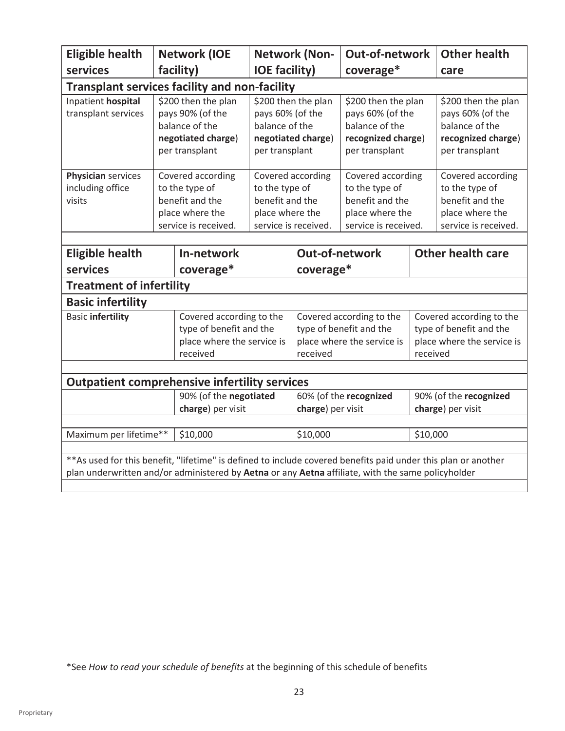| <b>Eligible health</b>                                                                                         |  | <b>Network (IOE</b>                                                                               |                                                      | <b>Network (Non-</b>                      | Out-of-network                                                                                    |          | <b>Other health</b>                                                                               |
|----------------------------------------------------------------------------------------------------------------|--|---------------------------------------------------------------------------------------------------|------------------------------------------------------|-------------------------------------------|---------------------------------------------------------------------------------------------------|----------|---------------------------------------------------------------------------------------------------|
| services                                                                                                       |  | facility)                                                                                         | <b>IOE facility)</b>                                 |                                           | coverage*                                                                                         |          | care                                                                                              |
| <b>Transplant services facility and non-facility</b>                                                           |  |                                                                                                   |                                                      |                                           |                                                                                                   |          |                                                                                                   |
| Inpatient hospital<br>transplant services                                                                      |  | \$200 then the plan<br>pays 90% (of the<br>balance of the<br>negotiated charge)<br>per transplant | pays 60% (of the<br>balance of the<br>per transplant | \$200 then the plan<br>negotiated charge) | \$200 then the plan<br>pays 60% (of the<br>balance of the<br>recognized charge)<br>per transplant |          | \$200 then the plan<br>pays 60% (of the<br>balance of the<br>recognized charge)<br>per transplant |
| Physician services                                                                                             |  | Covered according                                                                                 |                                                      | Covered according                         | Covered according                                                                                 |          | Covered according                                                                                 |
| including office<br>visits                                                                                     |  | to the type of<br>benefit and the                                                                 | to the type of<br>benefit and the                    |                                           | to the type of<br>benefit and the                                                                 |          | to the type of<br>benefit and the                                                                 |
|                                                                                                                |  | place where the                                                                                   | place where the                                      |                                           | place where the                                                                                   |          | place where the                                                                                   |
|                                                                                                                |  | service is received.                                                                              |                                                      | service is received.                      | service is received.                                                                              |          | service is received.                                                                              |
|                                                                                                                |  |                                                                                                   |                                                      |                                           |                                                                                                   |          |                                                                                                   |
| <b>Eligible health</b>                                                                                         |  | In-network                                                                                        |                                                      |                                           | Out-of-network                                                                                    |          | <b>Other health care</b>                                                                          |
| services                                                                                                       |  | coverage*                                                                                         |                                                      | coverage*                                 |                                                                                                   |          |                                                                                                   |
| <b>Treatment of infertility</b>                                                                                |  |                                                                                                   |                                                      |                                           |                                                                                                   |          |                                                                                                   |
| <b>Basic infertility</b>                                                                                       |  |                                                                                                   |                                                      |                                           |                                                                                                   |          |                                                                                                   |
| <b>Basic infertility</b>                                                                                       |  | Covered according to the                                                                          |                                                      |                                           | Covered according to the                                                                          |          | Covered according to the                                                                          |
|                                                                                                                |  | type of benefit and the                                                                           |                                                      |                                           | type of benefit and the                                                                           |          | type of benefit and the                                                                           |
|                                                                                                                |  | place where the service is                                                                        |                                                      |                                           | place where the service is                                                                        |          | place where the service is                                                                        |
|                                                                                                                |  | received                                                                                          |                                                      | received                                  |                                                                                                   | received |                                                                                                   |
| <b>Outpatient comprehensive infertility services</b>                                                           |  |                                                                                                   |                                                      |                                           |                                                                                                   |          |                                                                                                   |
|                                                                                                                |  | 90% (of the negotiated                                                                            |                                                      |                                           | 60% (of the recognized                                                                            |          | 90% (of the recognized                                                                            |
|                                                                                                                |  | charge) per visit                                                                                 |                                                      | charge) per visit                         |                                                                                                   |          | charge) per visit                                                                                 |
|                                                                                                                |  |                                                                                                   |                                                      |                                           |                                                                                                   |          |                                                                                                   |
| Maximum per lifetime**                                                                                         |  | \$10,000                                                                                          |                                                      | \$10,000                                  |                                                                                                   | \$10,000 |                                                                                                   |
|                                                                                                                |  |                                                                                                   |                                                      |                                           |                                                                                                   |          |                                                                                                   |
| ** As used for this benefit, "lifetime" is defined to include covered benefits paid under this plan or another |  |                                                                                                   |                                                      |                                           |                                                                                                   |          |                                                                                                   |
| plan underwritten and/or administered by Aetna or any Aetna affiliate, with the same policyholder              |  |                                                                                                   |                                                      |                                           |                                                                                                   |          |                                                                                                   |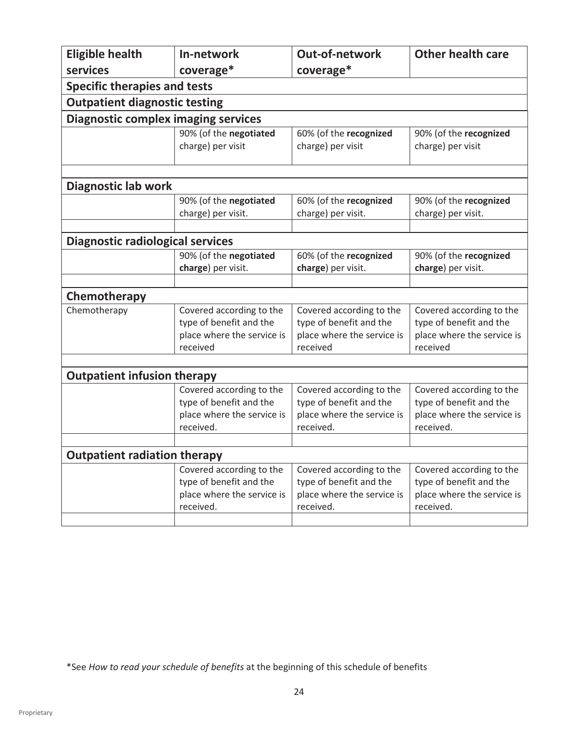| <b>Eligible health</b>                     | In-network                 | Out-of-network             | <b>Other health care</b>   |  |  |  |  |
|--------------------------------------------|----------------------------|----------------------------|----------------------------|--|--|--|--|
| services                                   | coverage*                  | coverage*                  |                            |  |  |  |  |
| <b>Specific therapies and tests</b>        |                            |                            |                            |  |  |  |  |
| <b>Outpatient diagnostic testing</b>       |                            |                            |                            |  |  |  |  |
| <b>Diagnostic complex imaging services</b> |                            |                            |                            |  |  |  |  |
|                                            | 90% (of the negotiated     | 60% (of the recognized     | 90% (of the recognized     |  |  |  |  |
|                                            | charge) per visit          | charge) per visit          | charge) per visit          |  |  |  |  |
|                                            |                            |                            |                            |  |  |  |  |
| Diagnostic lab work                        |                            |                            |                            |  |  |  |  |
|                                            | 90% (of the negotiated     | 60% (of the recognized     | 90% (of the recognized     |  |  |  |  |
|                                            | charge) per visit.         | charge) per visit.         | charge) per visit.         |  |  |  |  |
|                                            |                            |                            |                            |  |  |  |  |
| <b>Diagnostic radiological services</b>    |                            |                            |                            |  |  |  |  |
|                                            | 90% (of the negotiated     | 60% (of the recognized     | 90% (of the recognized     |  |  |  |  |
|                                            | charge) per visit.         | charge) per visit.         | charge) per visit.         |  |  |  |  |
|                                            |                            |                            |                            |  |  |  |  |
| Chemotherapy                               |                            |                            |                            |  |  |  |  |
| Chemotherapy                               | Covered according to the   | Covered according to the   | Covered according to the   |  |  |  |  |
|                                            | type of benefit and the    | type of benefit and the    | type of benefit and the    |  |  |  |  |
|                                            | place where the service is | place where the service is | place where the service is |  |  |  |  |
|                                            | received                   | received                   | received                   |  |  |  |  |
|                                            |                            |                            |                            |  |  |  |  |
| <b>Outpatient infusion therapy</b>         |                            |                            |                            |  |  |  |  |
|                                            | Covered according to the   | Covered according to the   | Covered according to the   |  |  |  |  |
|                                            | type of benefit and the    | type of benefit and the    | type of benefit and the    |  |  |  |  |
|                                            | place where the service is | place where the service is | place where the service is |  |  |  |  |
|                                            | received.                  | received.                  | received.                  |  |  |  |  |
|                                            |                            |                            |                            |  |  |  |  |
| <b>Outpatient radiation therapy</b>        |                            |                            |                            |  |  |  |  |
|                                            | Covered according to the   | Covered according to the   | Covered according to the   |  |  |  |  |
|                                            | type of benefit and the    | type of benefit and the    | type of benefit and the    |  |  |  |  |
|                                            | place where the service is | place where the service is | place where the service is |  |  |  |  |
|                                            | received.                  | received.                  | received.                  |  |  |  |  |
|                                            |                            |                            |                            |  |  |  |  |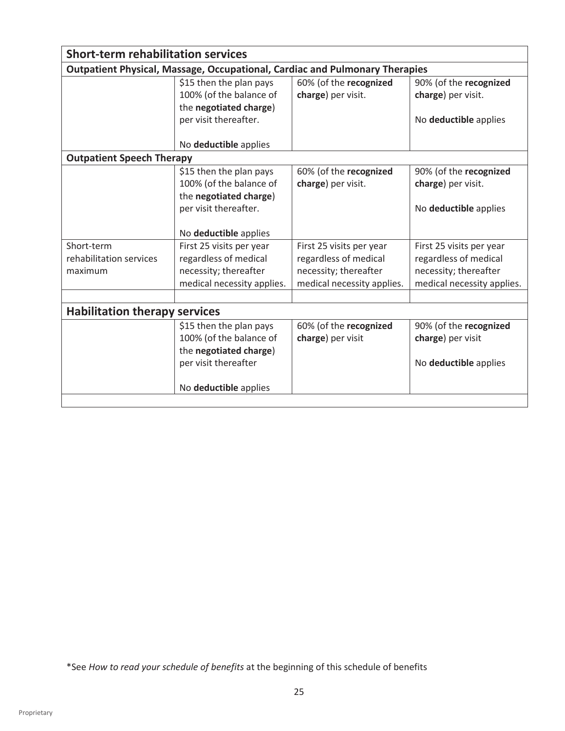|                                      | <b>Short-term rehabilitation services</b>                                          |                            |                            |  |  |  |
|--------------------------------------|------------------------------------------------------------------------------------|----------------------------|----------------------------|--|--|--|
|                                      | <b>Outpatient Physical, Massage, Occupational, Cardiac and Pulmonary Therapies</b> |                            |                            |  |  |  |
|                                      | \$15 then the plan pays                                                            | 60% (of the recognized     | 90% (of the recognized     |  |  |  |
|                                      | 100% (of the balance of                                                            | charge) per visit.         | charge) per visit.         |  |  |  |
|                                      | the negotiated charge)                                                             |                            |                            |  |  |  |
|                                      | per visit thereafter.                                                              |                            | No deductible applies      |  |  |  |
|                                      | No deductible applies                                                              |                            |                            |  |  |  |
| <b>Outpatient Speech Therapy</b>     |                                                                                    |                            |                            |  |  |  |
|                                      | \$15 then the plan pays                                                            | 60% (of the recognized     | 90% (of the recognized     |  |  |  |
|                                      | 100% (of the balance of                                                            | charge) per visit.         | charge) per visit.         |  |  |  |
|                                      | the negotiated charge)                                                             |                            |                            |  |  |  |
|                                      | per visit thereafter.                                                              |                            | No deductible applies      |  |  |  |
|                                      | No deductible applies                                                              |                            |                            |  |  |  |
| Short-term                           | First 25 visits per year                                                           | First 25 visits per year   | First 25 visits per year   |  |  |  |
| rehabilitation services              | regardless of medical                                                              | regardless of medical      | regardless of medical      |  |  |  |
| maximum                              | necessity; thereafter                                                              | necessity; thereafter      | necessity; thereafter      |  |  |  |
|                                      | medical necessity applies.                                                         | medical necessity applies. | medical necessity applies. |  |  |  |
|                                      |                                                                                    |                            |                            |  |  |  |
| <b>Habilitation therapy services</b> |                                                                                    |                            |                            |  |  |  |
|                                      | \$15 then the plan pays                                                            | 60% (of the recognized     | 90% (of the recognized     |  |  |  |
|                                      | 100% (of the balance of                                                            | charge) per visit          | charge) per visit          |  |  |  |
|                                      | the negotiated charge)                                                             |                            |                            |  |  |  |
|                                      | per visit thereafter                                                               |                            | No deductible applies      |  |  |  |
|                                      |                                                                                    |                            |                            |  |  |  |
|                                      | No deductible applies                                                              |                            |                            |  |  |  |
|                                      |                                                                                    |                            |                            |  |  |  |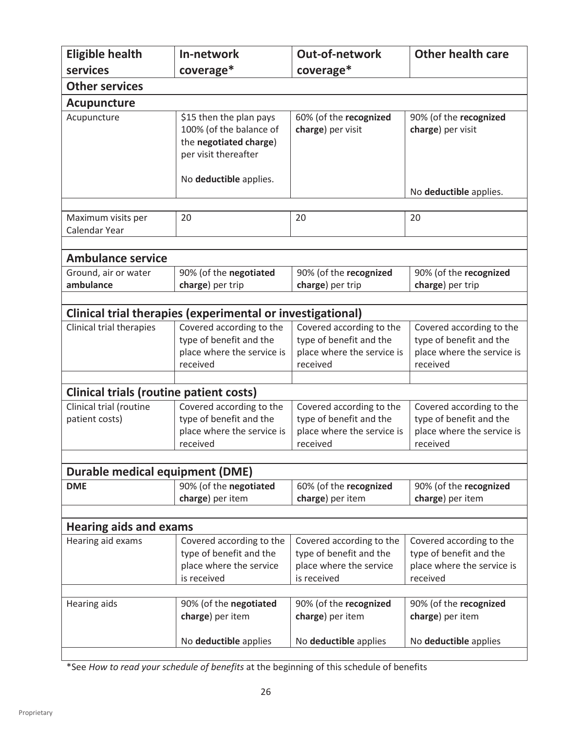| <b>Eligible health</b>                               | In-network                                                                                           | Out-of-network                              | <b>Other health care</b>                    |  |
|------------------------------------------------------|------------------------------------------------------------------------------------------------------|---------------------------------------------|---------------------------------------------|--|
| services                                             | coverage*                                                                                            | coverage*                                   |                                             |  |
| <b>Other services</b>                                |                                                                                                      |                                             |                                             |  |
| <b>Acupuncture</b>                                   |                                                                                                      |                                             |                                             |  |
| Acupuncture                                          | \$15 then the plan pays<br>100% (of the balance of<br>the negotiated charge)<br>per visit thereafter | 60% (of the recognized<br>charge) per visit | 90% (of the recognized<br>charge) per visit |  |
|                                                      | No deductible applies.                                                                               |                                             | No deductible applies.                      |  |
|                                                      |                                                                                                      |                                             |                                             |  |
| Maximum visits per<br>Calendar Year                  | 20                                                                                                   | 20                                          | 20                                          |  |
|                                                      |                                                                                                      |                                             |                                             |  |
| <b>Ambulance service</b>                             |                                                                                                      |                                             |                                             |  |
| Ground, air or water                                 | 90% (of the negotiated                                                                               | 90% (of the recognized                      | 90% (of the recognized                      |  |
| ambulance                                            | charge) per trip                                                                                     | charge) per trip                            | charge) per trip                            |  |
|                                                      |                                                                                                      |                                             |                                             |  |
| Clinical trial therapies                             | Clinical trial therapies (experimental or investigational)<br>Covered according to the               | Covered according to the                    | Covered according to the                    |  |
|                                                      | type of benefit and the                                                                              | type of benefit and the                     | type of benefit and the                     |  |
|                                                      | place where the service is                                                                           | place where the service is                  | place where the service is                  |  |
|                                                      | received                                                                                             | received                                    | received                                    |  |
|                                                      |                                                                                                      |                                             |                                             |  |
| <b>Clinical trials (routine patient costs)</b>       |                                                                                                      |                                             |                                             |  |
| Clinical trial (routine                              | Covered according to the                                                                             | Covered according to the                    | Covered according to the                    |  |
| patient costs)                                       | type of benefit and the                                                                              | type of benefit and the                     | type of benefit and the                     |  |
|                                                      | place where the service is                                                                           | place where the service is                  | place where the service is                  |  |
|                                                      | received                                                                                             | received                                    | received                                    |  |
|                                                      |                                                                                                      |                                             |                                             |  |
| <b>Durable medical equipment (DME)</b><br><b>DME</b> | 90% (of the negotiated                                                                               | 60% (of the recognized                      | 90% (of the recognized                      |  |
|                                                      | charge) per item                                                                                     | charge) per item                            | charge) per item                            |  |
|                                                      |                                                                                                      |                                             |                                             |  |
| <b>Hearing aids and exams</b>                        |                                                                                                      |                                             |                                             |  |
| Hearing aid exams                                    | Covered according to the                                                                             | Covered according to the                    | Covered according to the                    |  |
|                                                      | type of benefit and the                                                                              | type of benefit and the                     | type of benefit and the                     |  |
|                                                      | place where the service                                                                              | place where the service                     | place where the service is                  |  |
|                                                      | is received                                                                                          | is received                                 | received                                    |  |
|                                                      |                                                                                                      |                                             |                                             |  |
| <b>Hearing aids</b>                                  | 90% (of the negotiated<br>charge) per item                                                           | 90% (of the recognized<br>charge) per item  | 90% (of the recognized<br>charge) per item  |  |
|                                                      |                                                                                                      |                                             |                                             |  |
|                                                      | No deductible applies                                                                                | No deductible applies                       | No deductible applies                       |  |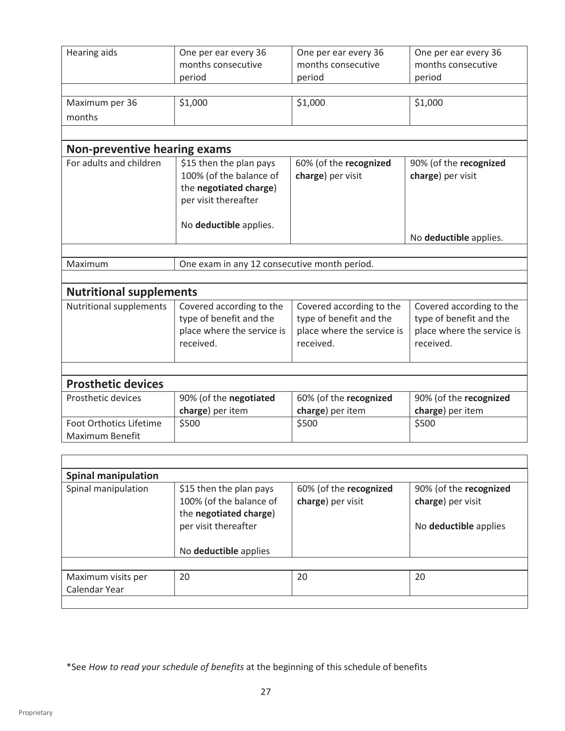| <b>Hearing aids</b>                        | One per ear every 36<br>months consecutive<br>period                                                 | One per ear every 36<br>months consecutive<br>period                                           | One per ear every 36<br>months consecutive<br>period                                           |
|--------------------------------------------|------------------------------------------------------------------------------------------------------|------------------------------------------------------------------------------------------------|------------------------------------------------------------------------------------------------|
|                                            |                                                                                                      |                                                                                                |                                                                                                |
| Maximum per 36                             | \$1,000                                                                                              | \$1,000                                                                                        | \$1,000                                                                                        |
| months                                     |                                                                                                      |                                                                                                |                                                                                                |
|                                            |                                                                                                      |                                                                                                |                                                                                                |
| <b>Non-preventive hearing exams</b>        |                                                                                                      |                                                                                                |                                                                                                |
| For adults and children                    | \$15 then the plan pays<br>100% (of the balance of<br>the negotiated charge)<br>per visit thereafter | 60% (of the recognized<br>charge) per visit                                                    | 90% (of the recognized<br>charge) per visit                                                    |
|                                            | No deductible applies.                                                                               |                                                                                                | No deductible applies.                                                                         |
|                                            |                                                                                                      |                                                                                                |                                                                                                |
| Maximum                                    | One exam in any 12 consecutive month period.                                                         |                                                                                                |                                                                                                |
|                                            |                                                                                                      |                                                                                                |                                                                                                |
| <b>Nutritional supplements</b>             |                                                                                                      |                                                                                                |                                                                                                |
| Nutritional supplements                    | Covered according to the<br>type of benefit and the<br>place where the service is<br>received.       | Covered according to the<br>type of benefit and the<br>place where the service is<br>received. | Covered according to the<br>type of benefit and the<br>place where the service is<br>received. |
|                                            |                                                                                                      |                                                                                                |                                                                                                |
| <b>Prosthetic devices</b>                  |                                                                                                      |                                                                                                |                                                                                                |
| Prosthetic devices                         | 90% (of the negotiated<br>charge) per item                                                           | 60% (of the recognized<br>charge) per item                                                     | 90% (of the recognized<br>charge) per item                                                     |
| Foot Orthotics Lifetime<br>Maximum Benefit | \$500                                                                                                | \$500                                                                                          | \$500                                                                                          |
|                                            |                                                                                                      |                                                                                                |                                                                                                |
|                                            |                                                                                                      |                                                                                                |                                                                                                |

| <b>Spinal manipulation</b>          |                                                                                                                               |                                             |                                                                      |
|-------------------------------------|-------------------------------------------------------------------------------------------------------------------------------|---------------------------------------------|----------------------------------------------------------------------|
| Spinal manipulation                 | \$15 then the plan pays<br>100% (of the balance of<br>the negotiated charge)<br>per visit thereafter<br>No deductible applies | 60% (of the recognized<br>charge) per visit | 90% (of the recognized<br>charge) per visit<br>No deductible applies |
|                                     |                                                                                                                               |                                             |                                                                      |
| Maximum visits per<br>Calendar Year | 20                                                                                                                            | 20                                          | 20                                                                   |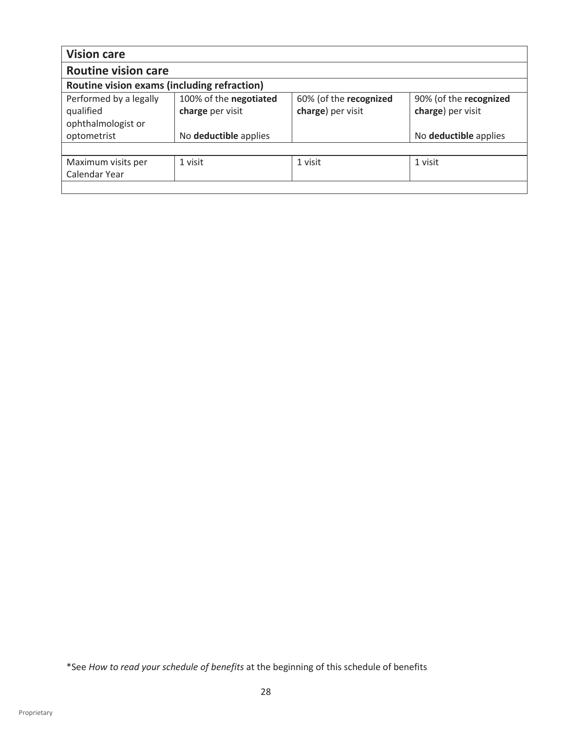| <b>Vision care</b>                                                       |                                                                     |                                             |                                                                      |
|--------------------------------------------------------------------------|---------------------------------------------------------------------|---------------------------------------------|----------------------------------------------------------------------|
| <b>Routine vision care</b>                                               |                                                                     |                                             |                                                                      |
| Routine vision exams (including refraction)                              |                                                                     |                                             |                                                                      |
| Performed by a legally<br>qualified<br>ophthalmologist or<br>optometrist | 100% of the negotiated<br>charge per visit<br>No deductible applies | 60% (of the recognized<br>charge) per visit | 90% (of the recognized<br>charge) per visit<br>No deductible applies |
|                                                                          |                                                                     |                                             |                                                                      |
| Maximum visits per<br>Calendar Year                                      | 1 visit                                                             | 1 visit                                     | 1 visit                                                              |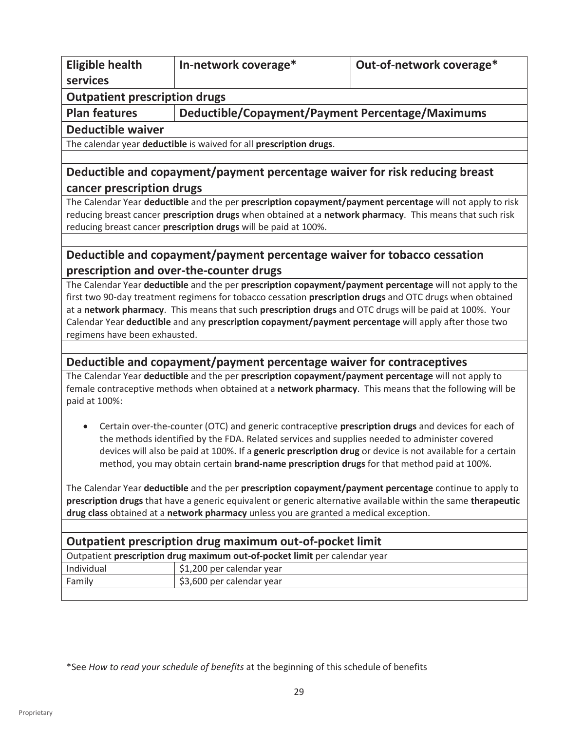| <b>Eligible health</b>                                                                                                                                                                                                    | In-network coverage*                                                                          | Out-of-network coverage*                                                                                   |  |
|---------------------------------------------------------------------------------------------------------------------------------------------------------------------------------------------------------------------------|-----------------------------------------------------------------------------------------------|------------------------------------------------------------------------------------------------------------|--|
| services                                                                                                                                                                                                                  |                                                                                               |                                                                                                            |  |
| <b>Outpatient prescription drugs</b>                                                                                                                                                                                      |                                                                                               |                                                                                                            |  |
| <b>Plan features</b>                                                                                                                                                                                                      | Deductible/Copayment/Payment Percentage/Maximums                                              |                                                                                                            |  |
| <b>Deductible waiver</b>                                                                                                                                                                                                  |                                                                                               |                                                                                                            |  |
|                                                                                                                                                                                                                           | The calendar year deductible is waived for all prescription drugs.                            |                                                                                                            |  |
|                                                                                                                                                                                                                           |                                                                                               |                                                                                                            |  |
| cancer prescription drugs                                                                                                                                                                                                 |                                                                                               | Deductible and copayment/payment percentage waiver for risk reducing breast                                |  |
|                                                                                                                                                                                                                           |                                                                                               | The Calendar Year deductible and the per prescription copayment/payment percentage will not apply to risk  |  |
|                                                                                                                                                                                                                           |                                                                                               | reducing breast cancer prescription drugs when obtained at a network pharmacy. This means that such risk   |  |
|                                                                                                                                                                                                                           | reducing breast cancer prescription drugs will be paid at 100%.                               |                                                                                                            |  |
|                                                                                                                                                                                                                           |                                                                                               |                                                                                                            |  |
|                                                                                                                                                                                                                           | Deductible and copayment/payment percentage waiver for tobacco cessation                      |                                                                                                            |  |
|                                                                                                                                                                                                                           | prescription and over-the-counter drugs                                                       | The Calendar Year deductible and the per prescription copayment/payment percentage will not apply to the   |  |
|                                                                                                                                                                                                                           |                                                                                               | first two 90-day treatment regimens for tobacco cessation prescription drugs and OTC drugs when obtained   |  |
|                                                                                                                                                                                                                           |                                                                                               | at a network pharmacy. This means that such prescription drugs and OTC drugs will be paid at 100%. Your    |  |
|                                                                                                                                                                                                                           |                                                                                               | Calendar Year deductible and any prescription copayment/payment percentage will apply after those two      |  |
| regimens have been exhausted.                                                                                                                                                                                             |                                                                                               |                                                                                                            |  |
|                                                                                                                                                                                                                           |                                                                                               |                                                                                                            |  |
|                                                                                                                                                                                                                           | Deductible and copayment/payment percentage waiver for contraceptives                         |                                                                                                            |  |
|                                                                                                                                                                                                                           |                                                                                               | The Calendar Year deductible and the per prescription copayment/payment percentage will not apply to       |  |
| paid at 100%:                                                                                                                                                                                                             |                                                                                               | female contraceptive methods when obtained at a network pharmacy. This means that the following will be    |  |
|                                                                                                                                                                                                                           |                                                                                               | Certain over-the-counter (OTC) and generic contraceptive prescription drugs and devices for each of        |  |
|                                                                                                                                                                                                                           | the methods identified by the FDA. Related services and supplies needed to administer covered |                                                                                                            |  |
|                                                                                                                                                                                                                           |                                                                                               | devices will also be paid at 100%. If a generic prescription drug or device is not available for a certain |  |
| method, you may obtain certain brand-name prescription drugs for that method paid at 100%.                                                                                                                                |                                                                                               |                                                                                                            |  |
|                                                                                                                                                                                                                           |                                                                                               |                                                                                                            |  |
| The Calendar Year deductible and the per prescription copayment/payment percentage continue to apply to<br>prescription drugs that have a generic equivalent or generic alternative available within the same therapeutic |                                                                                               |                                                                                                            |  |
| drug class obtained at a network pharmacy unless you are granted a medical exception.                                                                                                                                     |                                                                                               |                                                                                                            |  |
|                                                                                                                                                                                                                           |                                                                                               |                                                                                                            |  |
|                                                                                                                                                                                                                           | Outpatient prescription drug maximum out-of-pocket limit                                      |                                                                                                            |  |
|                                                                                                                                                                                                                           | Outpatient prescription drug maximum out-of-pocket limit per calendar year                    |                                                                                                            |  |
| Individual                                                                                                                                                                                                                | \$1,200 per calendar year                                                                     |                                                                                                            |  |
| Family                                                                                                                                                                                                                    | \$3,600 per calendar year                                                                     |                                                                                                            |  |
|                                                                                                                                                                                                                           |                                                                                               |                                                                                                            |  |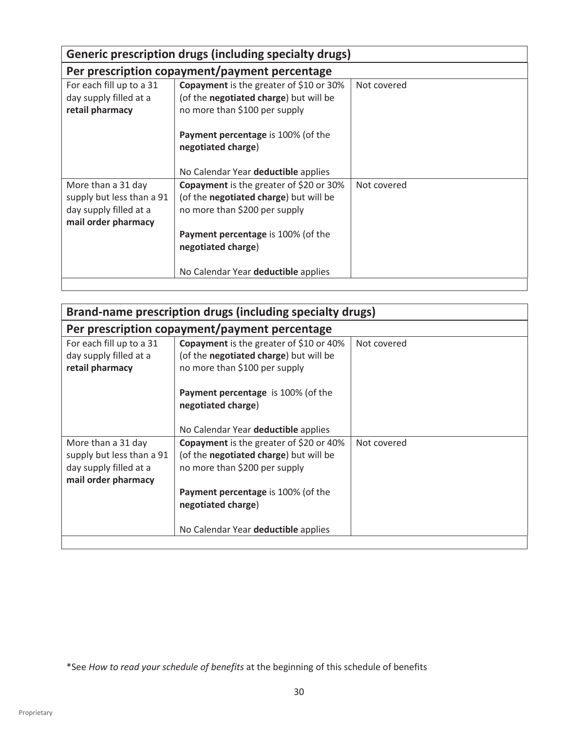|                                                                                                  |                                                                                                                                                                                | Generic prescription drugs (including specialty drugs) |  |  |  |
|--------------------------------------------------------------------------------------------------|--------------------------------------------------------------------------------------------------------------------------------------------------------------------------------|--------------------------------------------------------|--|--|--|
| Per prescription copayment/payment percentage                                                    |                                                                                                                                                                                |                                                        |  |  |  |
| For each fill up to a 31<br>day supply filled at a<br>retail pharmacy                            | Copayment is the greater of \$10 or 30%<br>(of the negotiated charge) but will be<br>no more than \$100 per supply                                                             | Not covered                                            |  |  |  |
|                                                                                                  | <b>Payment percentage</b> is 100% (of the<br>negotiated charge)<br>No Calendar Year deductible applies                                                                         |                                                        |  |  |  |
| More than a 31 day<br>supply but less than a 91<br>day supply filled at a<br>mail order pharmacy | Copayment is the greater of \$20 or 30%<br>(of the negotiated charge) but will be<br>no more than \$200 per supply<br>Payment percentage is 100% (of the<br>negotiated charge) | Not covered                                            |  |  |  |
|                                                                                                  | No Calendar Year deductible applies                                                                                                                                            |                                                        |  |  |  |

| Brand-name prescription drugs (including specialty drugs)                                        |                                                                                                                           |             |  |
|--------------------------------------------------------------------------------------------------|---------------------------------------------------------------------------------------------------------------------------|-------------|--|
| Per prescription copayment/payment percentage                                                    |                                                                                                                           |             |  |
| For each fill up to a 31<br>day supply filled at a<br>retail pharmacy                            | <b>Copayment</b> is the greater of \$10 or 40%<br>(of the negotiated charge) but will be<br>no more than \$100 per supply | Not covered |  |
|                                                                                                  | <b>Payment percentage</b> is 100% (of the<br>negotiated charge)<br>No Calendar Year deductible applies                    |             |  |
| More than a 31 day<br>supply but less than a 91<br>day supply filled at a<br>mail order pharmacy | <b>Copayment</b> is the greater of \$20 or 40%<br>(of the negotiated charge) but will be<br>no more than \$200 per supply | Not covered |  |
|                                                                                                  | Payment percentage is 100% (of the<br>negotiated charge)<br>No Calendar Year deductible applies                           |             |  |
|                                                                                                  |                                                                                                                           |             |  |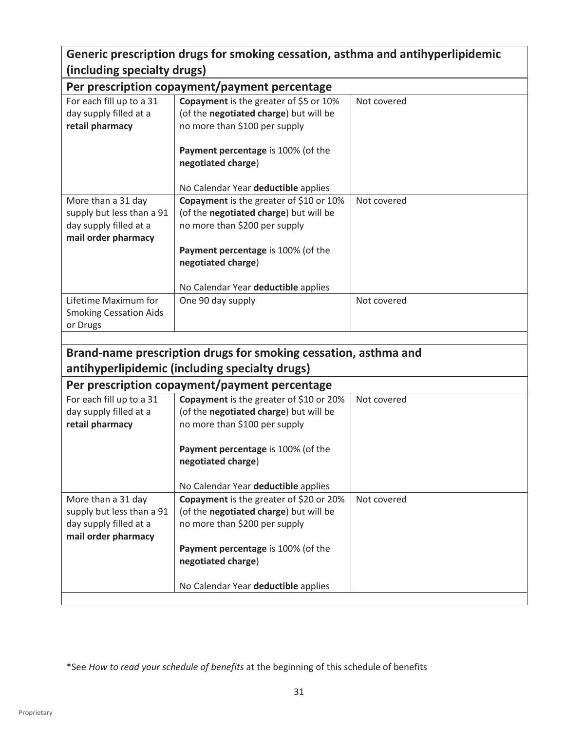### **Generic prescription drugs for smoking cessation, asthma and antihyperlipidemic (including specialty drugs)**

|                                                     | Per prescription copayment/payment percentage                           |             |  |  |  |  |
|-----------------------------------------------------|-------------------------------------------------------------------------|-------------|--|--|--|--|
| For each fill up to a 31                            | Copayment is the greater of \$5 or 10%                                  | Not covered |  |  |  |  |
| day supply filled at a                              | (of the negotiated charge) but will be                                  |             |  |  |  |  |
| retail pharmacy                                     | no more than \$100 per supply                                           |             |  |  |  |  |
|                                                     |                                                                         |             |  |  |  |  |
|                                                     | Payment percentage is 100% (of the                                      |             |  |  |  |  |
|                                                     | negotiated charge)                                                      |             |  |  |  |  |
|                                                     |                                                                         |             |  |  |  |  |
|                                                     | No Calendar Year deductible applies                                     |             |  |  |  |  |
| More than a 31 day                                  | Copayment is the greater of \$10 or 10%                                 | Not covered |  |  |  |  |
| supply but less than a 91<br>day supply filled at a | (of the negotiated charge) but will be<br>no more than \$200 per supply |             |  |  |  |  |
| mail order pharmacy                                 |                                                                         |             |  |  |  |  |
|                                                     | Payment percentage is 100% (of the                                      |             |  |  |  |  |
|                                                     | negotiated charge)                                                      |             |  |  |  |  |
|                                                     |                                                                         |             |  |  |  |  |
|                                                     | No Calendar Year deductible applies                                     |             |  |  |  |  |
| Lifetime Maximum for                                | One 90 day supply                                                       | Not covered |  |  |  |  |
| <b>Smoking Cessation Aids</b>                       |                                                                         |             |  |  |  |  |
| or Drugs                                            |                                                                         |             |  |  |  |  |
|                                                     |                                                                         |             |  |  |  |  |
|                                                     | Brand-name prescription drugs for smoking cessation, asthma and         |             |  |  |  |  |
|                                                     | antihyperlipidemic (including specialty drugs)                          |             |  |  |  |  |
|                                                     | Per prescription copayment/payment percentage                           |             |  |  |  |  |
| For each fill up to a 31                            | Copayment is the greater of \$10 or 20%                                 | Not covered |  |  |  |  |
| day supply filled at a                              |                                                                         |             |  |  |  |  |
|                                                     |                                                                         |             |  |  |  |  |
| retail pharmacy                                     | (of the negotiated charge) but will be<br>no more than \$100 per supply |             |  |  |  |  |
|                                                     |                                                                         |             |  |  |  |  |
|                                                     | Payment percentage is 100% (of the                                      |             |  |  |  |  |
|                                                     | negotiated charge)                                                      |             |  |  |  |  |
|                                                     |                                                                         |             |  |  |  |  |
|                                                     | No Calendar Year deductible applies                                     |             |  |  |  |  |
| More than a 31 day                                  | Copayment is the greater of \$20 or 20%                                 | Not covered |  |  |  |  |
| supply but less than a 91                           | (of the negotiated charge) but will be                                  |             |  |  |  |  |
| day supply filled at a                              | no more than \$200 per supply                                           |             |  |  |  |  |
| mail order pharmacy                                 |                                                                         |             |  |  |  |  |
|                                                     | Payment percentage is 100% (of the                                      |             |  |  |  |  |
|                                                     | negotiated charge)                                                      |             |  |  |  |  |
|                                                     | No Calendar Year deductible applies                                     |             |  |  |  |  |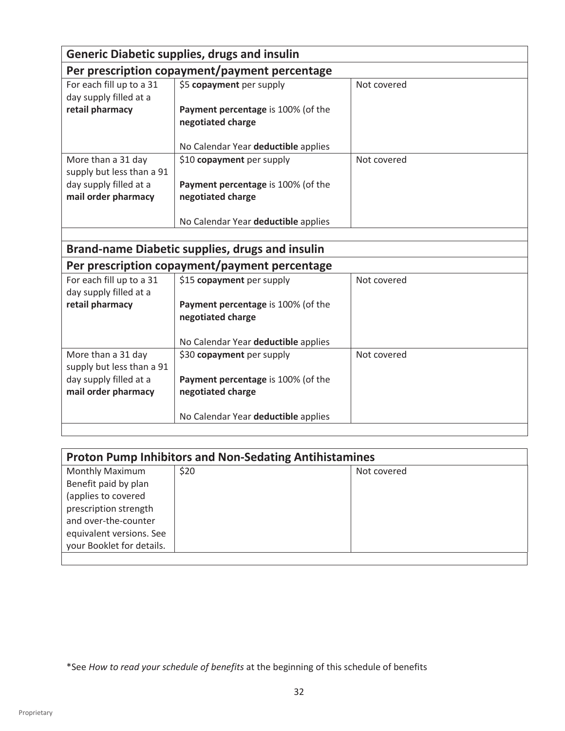| <b>Generic Diabetic supplies, drugs and insulin</b> |                                                        |             |  |
|-----------------------------------------------------|--------------------------------------------------------|-------------|--|
| Per prescription copayment/payment percentage       |                                                        |             |  |
| For each fill up to a 31                            | \$5 copayment per supply                               | Not covered |  |
| day supply filled at a                              |                                                        |             |  |
| retail pharmacy                                     | Payment percentage is 100% (of the                     |             |  |
|                                                     | negotiated charge                                      |             |  |
|                                                     |                                                        |             |  |
|                                                     | No Calendar Year deductible applies                    |             |  |
| More than a 31 day                                  | \$10 copayment per supply                              | Not covered |  |
| supply but less than a 91                           |                                                        |             |  |
| day supply filled at a                              | Payment percentage is 100% (of the                     |             |  |
| mail order pharmacy                                 | negotiated charge                                      |             |  |
|                                                     | No Calendar Year deductible applies                    |             |  |
|                                                     |                                                        |             |  |
|                                                     | <b>Brand-name Diabetic supplies, drugs and insulin</b> |             |  |
|                                                     | Per prescription copayment/payment percentage          |             |  |
| For each fill up to a 31                            | \$15 copayment per supply                              | Not covered |  |
| day supply filled at a                              |                                                        |             |  |
| retail pharmacy                                     | Payment percentage is 100% (of the                     |             |  |
|                                                     | negotiated charge                                      |             |  |
|                                                     |                                                        |             |  |
|                                                     | No Calendar Year deductible applies                    |             |  |
| More than a 31 day                                  | \$30 copayment per supply                              | Not covered |  |
| supply but less than a 91                           |                                                        |             |  |
| day supply filled at a                              | Payment percentage is 100% (of the                     |             |  |
| mail order pharmacy                                 | negotiated charge                                      |             |  |
|                                                     |                                                        |             |  |
|                                                     | No Calendar Year deductible applies                    |             |  |
|                                                     |                                                        |             |  |

| <b>Proton Pump Inhibitors and Non-Sedating Antihistamines</b> |      |             |  |
|---------------------------------------------------------------|------|-------------|--|
| <b>Monthly Maximum</b>                                        | \$20 | Not covered |  |
| Benefit paid by plan                                          |      |             |  |
| (applies to covered                                           |      |             |  |
| prescription strength                                         |      |             |  |
| and over-the-counter                                          |      |             |  |
| equivalent versions. See                                      |      |             |  |
| your Booklet for details.                                     |      |             |  |
|                                                               |      |             |  |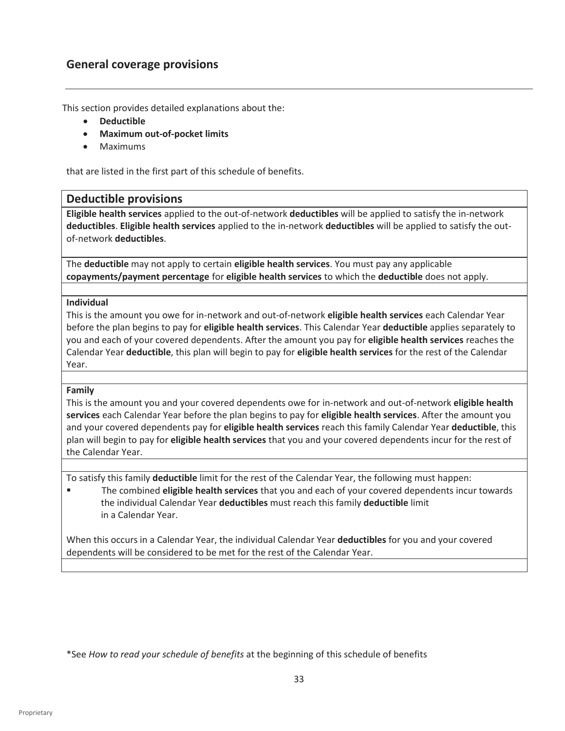#### **General coverage provisions**

This section provides detailed explanations about the:

- **•** Deductible
- x **Maximum out-of-pocket limits**
- Maximums

that are listed in the first part of this schedule of benefits.

#### **Deductible provisions**

**Eligible health services** applied to the out-of-network **deductibles** will be applied to satisfy the in-network **deductibles**. **Eligible health services** applied to the in-network **deductibles** will be applied to satisfy the outof-network **deductibles**.

The **deductible** may not apply to certain **eligible health services**. You must pay any applicable **copayments/payment percentage** for **eligible health services** to which the **deductible** does not apply.

#### **Individual**

This is the amount you owe for in-network and out-of-network **eligible health services** each Calendar Year before the plan begins to pay for **eligible health services**. This Calendar Year **deductible** applies separately to you and each of your covered dependents. After the amount you pay for **eligible health services** reaches the Calendar Year **deductible**, this plan will begin to pay for **eligible health services** for the rest of the Calendar Year.

#### **Family**

This is the amount you and your covered dependents owe for in-network and out-of-network **eligible health services** each Calendar Year before the plan begins to pay for **eligible health services**. After the amount you and your covered dependents pay for **eligible health services** reach this family Calendar Year **deductible**, this plan will begin to pay for **eligible health services** that you and your covered dependents incur for the rest of the Calendar Year.

To satisfy this family **deductible** limit for the rest of the Calendar Year, the following must happen:

The combined **eligible health services** that you and each of your covered dependents incur towards the individual Calendar Year **deductibles** must reach this family **deductible** limit in a Calendar Year.

When this occurs in a Calendar Year, the individual Calendar Year **deductibles** for you and your covered dependents will be considered to be met for the rest of the Calendar Year.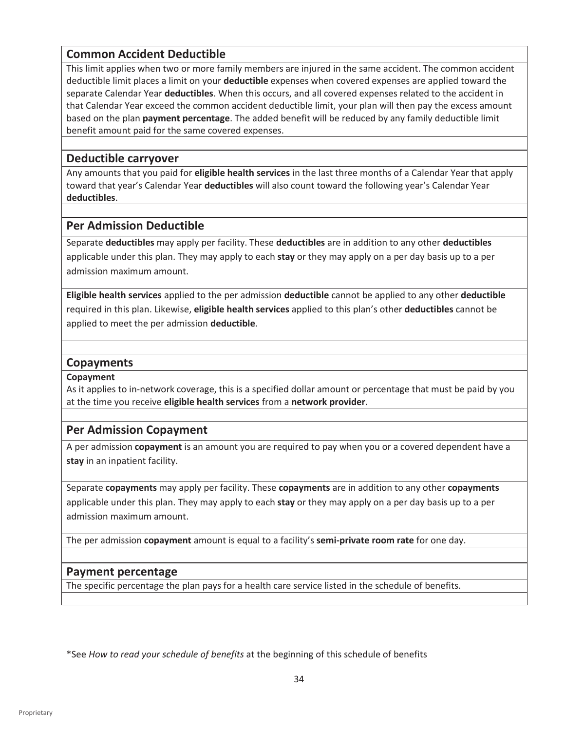#### **Common Accident Deductible**

This limit applies when two or more family members are injured in the same accident. The common accident deductible limit places a limit on your **deductible** expenses when covered expenses are applied toward the separate Calendar Year **deductibles**. When this occurs, and all covered expenses related to the accident in that Calendar Year exceed the common accident deductible limit, your plan will then pay the excess amount based on the plan **payment percentage**. The added benefit will be reduced by any family deductible limit benefit amount paid for the same covered expenses.

#### **Deductible carryover**

Any amounts that you paid for **eligible health services** in the last three months of a Calendar Year that apply toward that year's Calendar Year **deductibles** will also count toward the following year's Calendar Year **deductibles**.

#### **Per Admission Deductible**

Separate **deductibles** may apply per facility. These **deductibles** are in addition to any other **deductibles**  applicable under this plan. They may apply to each **stay** or they may apply on a per day basis up to a per admission maximum amount.

**Eligible health services** applied to the per admission **deductible** cannot be applied to any other **deductible** required in this plan. Likewise, **eligible health services** applied to this plan's other **deductibles** cannot be applied to meet the per admission **deductible**.

#### **Copayments**

#### **Copayment**

As it applies to in-network coverage, this is a specified dollar amount or percentage that must be paid by you at the time you receive **eligible health services** from a **network provider**.

#### **Per Admission Copayment**

A per admission **copayment** is an amount you are required to pay when you or a covered dependent have a **stay** in an inpatient facility.

Separate **copayments** may apply per facility. These **copayments** are in addition to any other **copayments** applicable under this plan. They may apply to each **stay** or they may apply on a per day basis up to a per admission maximum amount.

The per admission **copayment** amount is equal to a facility's **semi-private room rate** for one day.

#### **Payment percentage**

The specific percentage the plan pays for a health care service listed in the schedule of benefits.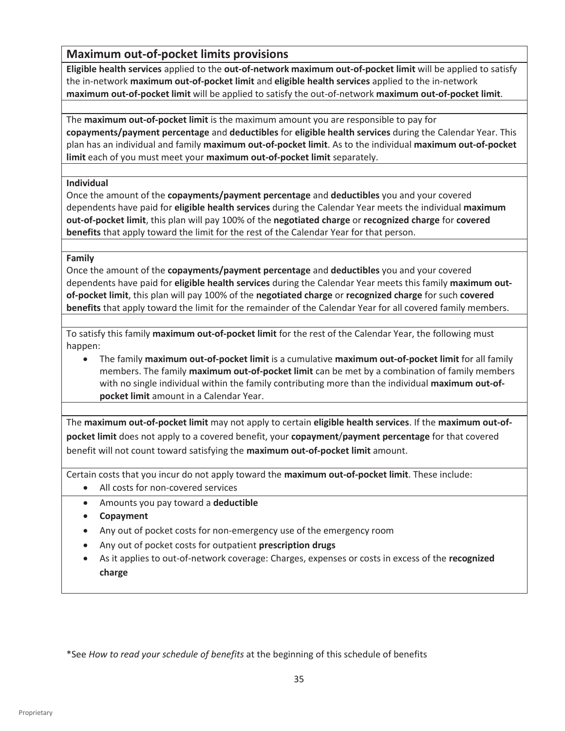#### **Maximum out-of-pocket limits provisions**

**Eligible health services** applied to the **out-of-network maximum out-of-pocket limit** will be applied to satisfy the in-network **maximum out-of-pocket limit** and **eligible health services** applied to the in-network **maximum out-of-pocket limit** will be applied to satisfy the out-of-network **maximum out-of-pocket limit**.

The **maximum out-of-pocket limit** is the maximum amount you are responsible to pay for **copayments/payment percentage** and **deductibles** for **eligible health services** during the Calendar Year. This plan has an individual and family **maximum out-of-pocket limit**. As to the individual **maximum out-of-pocket limit** each of you must meet your **maximum out-of-pocket limit** separately.

#### **Individual**

Once the amount of the **copayments/payment percentage** and **deductibles** you and your covered dependents have paid for **eligible health services** during the Calendar Year meets the individual **maximum out-of-pocket limit**, this plan will pay 100% of the **negotiated charge** or **recognized charge** for **covered benefits** that apply toward the limit for the rest of the Calendar Year for that person.

#### **Family**

Once the amount of the **copayments/payment percentage** and **deductibles** you and your covered dependents have paid for **eligible health services** during the Calendar Year meets this family **maximum outof-pocket limit**, this plan will pay 100% of the **negotiated charge** or **recognized charge** for such **covered benefits** that apply toward the limit for the remainder of the Calendar Year for all covered family members.

To satisfy this family **maximum out-of-pocket limit** for the rest of the Calendar Year, the following must happen:

**•** The family **maximum out-of-pocket limit** is a cumulative **maximum out-of-pocket limit** for all family members. The family **maximum out-of-pocket limit** can be met by a combination of family members with no single individual within the family contributing more than the individual **maximum out-ofpocket limit** amount in a Calendar Year.

The **maximum out-of-pocket limit** may not apply to certain **eligible health services**. If the **maximum out-ofpocket limit** does not apply to a covered benefit, your **copayment**/**payment percentage** for that covered benefit will not count toward satisfying the **maximum out-of-pocket limit** amount.

Certain costs that you incur do not apply toward the **maximum out-of-pocket limit**. These include:

- All costs for non-covered services
- x Amounts you pay toward a **deductible**
- **•** Copayment
- Any out of pocket costs for non-emergency use of the emergency room
- **EXECT** Any out of pocket costs for outpatient **prescription drugs**
- **EXECT:** As it applies to out-of-network coverage: Charges, expenses or costs in excess of the **recognized charge**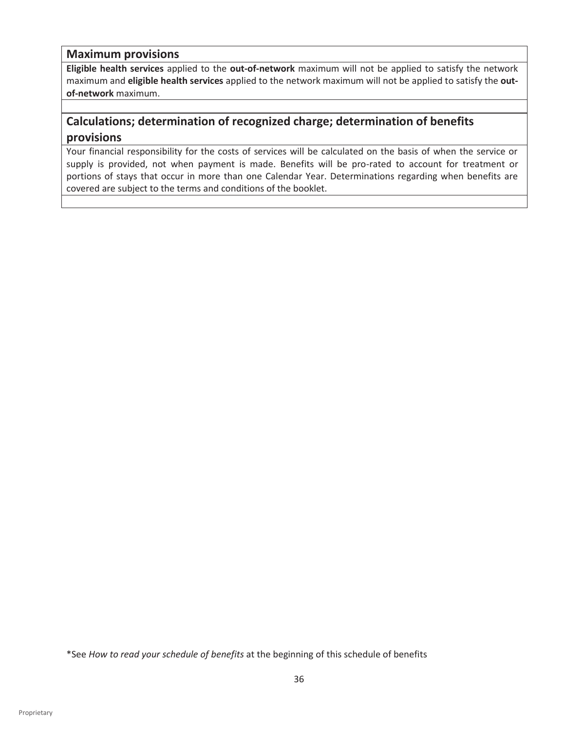#### **Maximum provisions**

**Eligible health services** applied to the **out-of-network** maximum will not be applied to satisfy the network maximum and **eligible health services** applied to the network maximum will not be applied to satisfy the **outof-network** maximum.

### **Calculations; determination of recognized charge; determination of benefits provisions**

Your financial responsibility for the costs of services will be calculated on the basis of when the service or supply is provided, not when payment is made. Benefits will be pro-rated to account for treatment or portions of stays that occur in more than one Calendar Year. Determinations regarding when benefits are covered are subject to the terms and conditions of the booklet.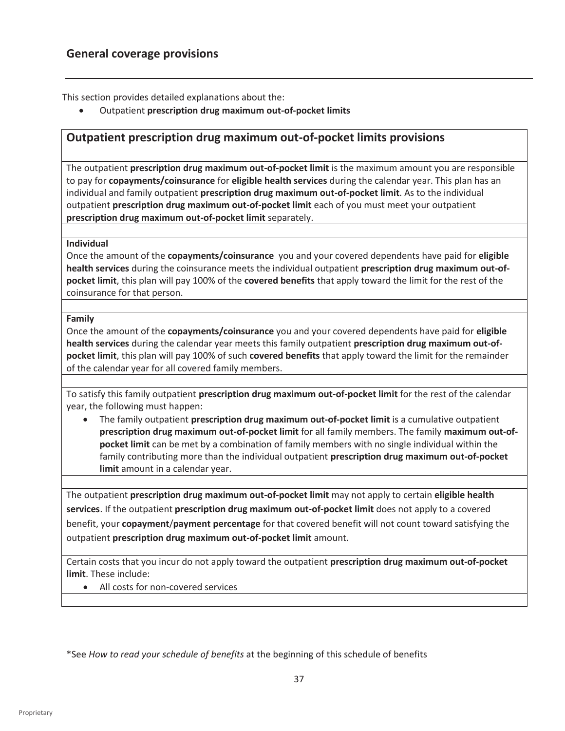This section provides detailed explanations about the:

**•** Outpatient prescription drug maximum out-of-pocket limits

#### **Outpatient prescription drug maximum out-of-pocket limits provisions**

The outpatient **prescription drug maximum out-of-pocket limit** is the maximum amount you are responsible to pay for **copayments/coinsurance** for **eligible health services** during the calendar year. This plan has an individual and family outpatient **prescription drug maximum out-of-pocket limit**. As to the individual outpatient **prescription drug maximum out-of-pocket limit** each of you must meet your outpatient **prescription drug maximum out-of-pocket limit** separately.

#### **Individual**

Once the amount of the **copayments/coinsurance** you and your covered dependents have paid for **eligible health services** during the coinsurance meets the individual outpatient **prescription drug maximum out-ofpocket limit**, this plan will pay 100% of the **covered benefits** that apply toward the limit for the rest of the coinsurance for that person.

#### **Family**

Once the amount of the **copayments/coinsurance** you and your covered dependents have paid for **eligible health services** during the calendar year meets this family outpatient **prescription drug maximum out-ofpocket limit**, this plan will pay 100% of such **covered benefits** that apply toward the limit for the remainder of the calendar year for all covered family members.

To satisfy this family outpatient **prescription drug maximum out-of-pocket limit** for the rest of the calendar year, the following must happen:

• The family outpatient **prescription drug maximum out-of-pocket limit** is a cumulative outpatient **prescription drug maximum out-of-pocket limit** for all family members. The family **maximum out-ofpocket limit** can be met by a combination of family members with no single individual within the family contributing more than the individual outpatient **prescription drug maximum out-of-pocket limit** amount in a calendar year.

The outpatient **prescription drug maximum out-of-pocket limit** may not apply to certain **eligible health services**. If the outpatient **prescription drug maximum out-of-pocket limit** does not apply to a covered benefit, your **copayment**/**payment percentage** for that covered benefit will not count toward satisfying the outpatient **prescription drug maximum out-of-pocket limit** amount.

Certain costs that you incur do not apply toward the outpatient **prescription drug maximum out-of-pocket limit**. These include:

• All costs for non-covered services